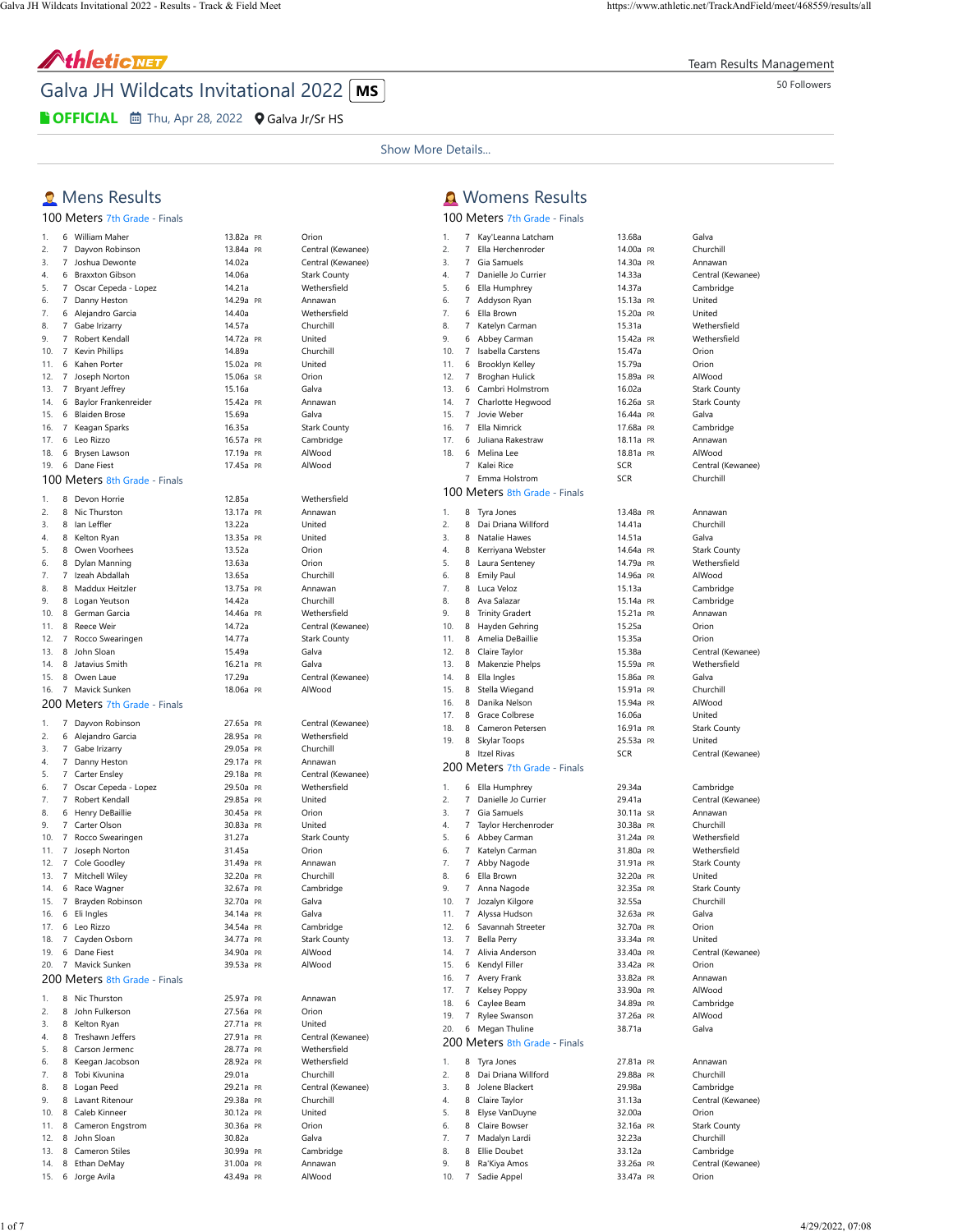Team Results Management

## AthleticNET

Galva JH Wildcats Invitational 2022 **MS** 

**COFFICIAL 茴** Thu, Apr 28, 2022 **Q** [Galva Jr/Sr HS](https://maps.google.com/maps?saddr=&daddr=41.1776008+-90.0434494&hl=en)

Show More Details...

**A** Womens Results [100 Meters 7](https://www.athletic.net/TrackAndField/meet/468559/results/f/1/100m)th Grade - Finals

1. 7 [Kay'Leanna Latcham](https://www.athletic.net/TrackAndField/Athlete.aspx?AID=18248828) [13.68a](https://www.athletic.net/result/6viVM3JCrUKp0gKuN) [Galva](https://www.athletic.net/TrackAndField/School.aspx?SchoolID=30605) 2. 7 [Ella Herchenroder](https://www.athletic.net/TrackAndField/Athlete.aspx?AID=20166163) [14.00a](https://www.athletic.net/result/vOi3K4ZTQUNp31mto) [PR](https://www.athletic.net/post/vOi3K4ZTQUNp31mto) [Churchill](https://www.athletic.net/TrackAndField/School.aspx?SchoolID=30550) 3. 7 [Gia Samuels](https://www.athletic.net/TrackAndField/Athlete.aspx?AID=18508231) [14.30a](https://www.athletic.net/result/vOi3K4ZTQU0jPl5To) [PR](https://www.athletic.net/post/vOi3K4ZTQU0jPl5To) [Annawan](https://www.athletic.net/TrackAndField/School.aspx?SchoolID=30482)

### **Q** Mens Results

# [100 Meters 7](https://www.athletic.net/TrackAndField/meet/468559/results/m/1/100m)th Grade - Finals

| 1.  | 6              | William Maher                 | 13.82a PR | Orion               |
|-----|----------------|-------------------------------|-----------|---------------------|
| 2.  | 7              | Dayvon Robinson               | 13.84a PR | Central (Kewanee)   |
| 3.  | 7              | Joshua Dewonte                | 14.02a    | Central (Kewanee)   |
| 4.  | 6              | <b>Braxxton Gibson</b>        | 14.06a    | <b>Stark County</b> |
| 5.  | 7              | Oscar Cepeda - Lopez          | 14.21a    | Wethersfield        |
|     | 7              |                               | 14.29a PR |                     |
| 6.  |                | Danny Heston                  |           | Annawan             |
| 7.  | 6              | Alejandro Garcia              | 14.40a    | Wethersfield        |
| 8.  | 7              | Gabe Irizarry                 | 14.57a    | Churchill           |
| 9.  | 7              | Robert Kendall                | 14.72a PR | United              |
| 10. | 7              | Kevin Phillips                | 14.89a    | Churchill           |
| 11. | 6              | Kahen Porter                  | 15.02a PR | United              |
|     |                |                               |           |                     |
| 12. | 7              | Joseph Norton                 | 15.06a SR | Orion               |
| 13. | 7              | <b>Bryant Jeffrey</b>         | 15.16a    | Galva               |
| 14. | 6              | Baylor Frankenreider          | 15.42a PR | Annawan             |
| 15. | 6              | <b>Blaiden Brose</b>          | 15.69a    | Galva               |
| 16. | $\overline{7}$ | Keagan Sparks                 | 16.35a    | <b>Stark County</b> |
|     |                |                               |           |                     |
| 17. |                | 6 Leo Rizzo                   | 16.57a PR | Cambridge           |
| 18. | 6              | Brysen Lawson                 | 17.19a PR | AlWood              |
| 19. | 6              | Dane Fiest                    | 17.45a PR | AlWood              |
|     |                | 100 Meters 8th Grade - Finals |           |                     |
| 1.  | 8              | Devon Horrie                  | 12.85a    | Wethersfield        |
| 2.  | 8              | Nic Thurston                  | 13.17a PR | Annawan             |
| 3.  |                | 8 Ian Leffler                 | 13.22a    | United              |
| 4.  |                | 8 Kelton Ryan                 | 13.35a PR | United              |
| 5.  |                | 8 Owen Voorhees               | 13.52a    | Orion               |
| 6.  | 8              | Dylan Manning                 | 13.63a    | Orion               |
|     |                |                               |           |                     |
| 7.  | 7              | Izeah Abdallah                | 13.65a    | Churchill           |
| 8.  | 8              | Maddux Heitzler               | 13.75a PR | Annawan             |
| 9.  | 8              | Logan Yeutson                 | 14.42a    | Churchill           |
| 10. | 8              | German Garcia                 | 14.46a PR | Wethersfield        |
| 11. | 8              | Reece Weir                    | 14.72a    | Central (Kewanee)   |
|     |                |                               |           |                     |
| 12. | 7              | Rocco Swearingen              | 14.77a    | <b>Stark County</b> |
| 13. | 8              | John Sloan                    | 15.49a    | Galva               |
| 14. | 8              | Jatavius Smith                | 16.21a PR | Galva               |
| 15. | 8              | Owen Laue                     | 17.29a    | Central (Kewanee)   |
| 16. | 7              | Mavick Sunken                 | 18.06a PR | AlWood              |
|     |                | 200 Meters 7th Grade - Finals |           |                     |
|     |                |                               |           |                     |
| 1.  | $7^{\circ}$    | Dayvon Robinson               | 27.65a PR | Central (Kewanee)   |
| 2.  | 6              | Alejandro Garcia              | 28.95a PR | Wethersfield        |
| 3.  | 7              | Gabe Irizarry                 | 29.05a PR | Churchill           |
| 4.  |                | 7 Danny Heston                | 29.17a PR | Annawan             |
| 5.  | 7              |                               | 29.18a PR |                     |
|     |                | Carter Ensley                 |           | Central (Kewanee)   |
| 6.  | 7              | Oscar Cepeda - Lopez          | 29.50a PR | Wethersfield        |
| 7.  | 7              | Robert Kendall                | 29.85a PR | United              |
| 8.  | 6              | Henry DeBaillie               | 30.45a PR | Orion               |
| 9.  | 7              | Carter Olson                  | 30.83a PR | United              |
| 10. | $\overline{7}$ | Rocco Swearingen              | 31.27a    | <b>Stark County</b> |
|     |                |                               |           |                     |
| 11. | 7              | Joseph Norton                 | 31.45a    | Orion               |
| 12. | 7              | Cole Goodley                  | 31.49a PR | Annawan             |
| 13. | 7              | Mitchell Wiley                | 32.20a PR | Churchill           |
| 14. | 6              | Race Wagner                   | 32.67a PR | Cambridge           |
| 15. | $7\phantom{.}$ | Brayden Robinson              | 32.70a PR | Galva               |
|     |                |                               |           |                     |
| 16. | 6              | Eli Ingles                    | 34.14a PR | Galva               |
| 17. | 6              | Leo Rizzo                     | 34.54a PR | Cambridge           |
| 18. |                | 7 Cayden Osborn               | 34.77a PR | Stark County        |
| 19. |                | 6 Dane Fiest                  | 34.90a PR | AlWood              |
| 20. | $7^{\circ}$    | Mavick Sunken                 | 39.53a PR | AlWood              |
|     |                | 200 Meters 8th Grade - Finals |           |                     |
|     |                |                               |           |                     |
| 1.  |                | 8 Nic Thurston                | 25.97a PR | Annawan             |
| 2.  |                | 8 John Fulkerson              | 27.56a PR | Orion               |
| 3.  |                | 8 Kelton Ryan                 | 27.71a PR | United              |
| 4.  |                | 8 Treshawn Jeffers            | 27.91a PR | Central (Kewanee)   |
|     |                | 8 Carson Jermenc              |           | Wethersfield        |
| 5.  |                |                               | 28.77a PR |                     |
| 6.  |                | 8 Keegan Jacobson             | 28.92a PR | Wethersfield        |
| 7.  |                | 8 Tobi Kivunina               | 29.01a    | Churchill           |
| 8.  |                | 8 Logan Peed                  | 29.21a PR | Central (Kewanee)   |
| 9.  |                | 8 Lavant Ritenour             | 29.38a PR | Churchill           |
| 10. |                | 8 Caleb Kinneer               | 30.12a PR | United              |
|     |                |                               |           |                     |
| 11. |                | 8 Cameron Engstrom            | 30.36a PR | Orion               |
| 12. |                | 8 John Sloan                  | 30.82a    | Galva               |
| 13. |                | 8 Cameron Stiles              | 30.99a PR | Cambridge           |
| 14. |                | 8 Ethan DeMay                 | 31.00a PR | Annawan             |

14. 8 [Ethan DeMay](https://www.athletic.net/TrackAndField/Athlete.aspx?AID=18508283) [31.00a](https://www.athletic.net/result/AWi0POYfgF0ORYguN) [PR](https://www.athletic.net/post/AWi0POYfgF0ORYguN) [Annawan](https://www.athletic.net/TrackAndField/School.aspx?SchoolID=30482) 15. 6 [Jorge Avila](https://www.athletic.net/TrackAndField/Athlete.aspx?AID=20173115) **15. 12.49a [PR](https://www.athletic.net/post/zviYQRVUEFa0w2Dim)** [AlWood](https://www.athletic.net/TrackAndField/School.aspx?SchoolID=30481)

## [Central \(Kewanee\)](https://www.athletic.net/TrackAndField/School.aspx?SchoolID=30537) [Central \(Kewanee\)](https://www.athletic.net/TrackAndField/School.aspx?SchoolID=30537) [Stark County](https://www.athletic.net/TrackAndField/School.aspx?SchoolID=30895) wethersfield [Annawan](https://www.athletic.net/TrackAndField/School.aspx?SchoolID=30482) [Wethersfield](https://www.athletic.net/TrackAndField/School.aspx?SchoolID=30945) [Churchill](https://www.athletic.net/TrackAndField/School.aspx?SchoolID=30550) [Stark County](https://www.athletic.net/TrackAndField/School.aspx?SchoolID=30895) [Cambridge](https://www.athletic.net/TrackAndField/School.aspx?SchoolID=30527) [AlWood](https://www.athletic.net/TrackAndField/School.aspx?SchoolID=30481) [Wethersfield](https://www.athletic.net/TrackAndField/School.aspx?SchoolID=30945) [Annawan](https://www.athletic.net/TrackAndField/School.aspx?SchoolID=30482) [Churchill](https://www.athletic.net/TrackAndField/School.aspx?SchoolID=30550) [Annawan](https://www.athletic.net/TrackAndField/School.aspx?SchoolID=30482) [Churchill](https://www.athletic.net/TrackAndField/School.aspx?SchoolID=30550) [Wethersfield](https://www.athletic.net/TrackAndField/School.aspx?SchoolID=30945) [Central \(Kewanee\)](https://www.athletic.net/TrackAndField/School.aspx?SchoolID=30537) [Stark County](https://www.athletic.net/TrackAndField/School.aspx?SchoolID=30895)

| Central (Kewanee)   |
|---------------------|
| AlWood              |
|                     |
| Central (Kewanee)   |
| Wethersfield        |
| Churchill           |
| Annawan             |
| Central (Kewanee)   |
| Wethersfield        |
| United              |
| Orion               |
| United              |
| <b>Stark County</b> |
| Orion               |
| Annawan             |
| Churchill           |
| Cambridge           |
| Galva               |
| Galva               |
| Cambridge           |
| <b>Stark County</b> |
| AlWood              |
| AlWood              |
|                     |
| Annawan             |
| Orion               |
| United              |
| Central (Kewanee)   |
| Wethersfield        |
| Wethersfield        |
| Churchill           |
| Central (Kewanee)   |
| Churchill           |
| United              |
| $\sim$              |

| ↔.  |                | Danielle Jo Curriel           | 14.JJd     | CEILIGI <sub>(</sub> |
|-----|----------------|-------------------------------|------------|----------------------|
| 5.  | 6              | Ella Humphrey                 | 14.37a     | Cambrid              |
| 6.  | $\overline{7}$ | Addyson Ryan                  | 15.13a PR  | United               |
| 7.  | 6              | Ella Brown                    | 15.20a PR  | United               |
| 8.  | 7              | Katelyn Carman                | 15.31a     | Wetherst             |
| 9.  | 6              | Abbey Carman                  | 15.42a PR  | Wetherst             |
| 10. | 7              | Isabella Carstens             | 15.47a     | Orion                |
| 11. | 6              | Brooklyn Kelley               | 15.79a     | Orion                |
| 12. | 7              | Broghan Hulick                | 15.89a PR  | AlWood               |
| 13. | 6              | Cambri Holmstrom              | 16.02a     | Stark Co             |
| 14. | $\overline{7}$ | Charlotte Hegwood             | 16.26a SR  | Stark Co             |
| 15. | 7              | Jovie Weber                   | 16.44a PR  | Galva                |
| 16. | $\overline{7}$ | Ella Nimrick                  | 17.68a PR  | Cambrid              |
| 17. | 6              | Juliana Rakestraw             | 18.11a PR  | Annawar              |
| 18. |                |                               |            | AlWood               |
|     | 6              | Melina Lee                    | 18.81a PR  |                      |
|     | 7              | Kalei Rice                    | <b>SCR</b> | Central (            |
|     | 7              | Emma Holstrom                 | <b>SCR</b> | Churchill            |
|     |                | 100 Meters 8th Grade - Finals |            |                      |
| 1.  | 8              | Tyra Jones                    | 13.48a PR  | Annawar              |
|     |                |                               |            |                      |
| 2.  | 8              | Dai Driana Willford           | 14.41a     | Churchill            |
| 3.  | 8              | Natalie Hawes                 | 14.51a     | Galva                |
| 4.  | 8              | Kerriyana Webster             | 14.64a PR  | Stark Co             |
| 5.  | 8              | Laura Senteney                | 14.79a PR  | Wetherst             |
| 6.  | 8              | <b>Emily Paul</b>             | 14.96a PR  | AlWood               |
| 7.  | 8              | Luca Veloz                    | 15.13a     | Cambrid              |
| 8.  | 8              | Ava Salazar                   | 15.14a PR  | Cambrid              |
| 9.  | 8              | <b>Trinity Gradert</b>        | 15.21a PR  | Annawar              |
| 10. | 8              | Hayden Gehring                | 15.25a     | Orion                |
| 11. | 8              | Amelia DeBaillie              | 15.35a     | Orion                |
| 12. | 8              | Claire Taylor                 | 15.38a     | Central (            |
| 13. | 8              | Makenzie Phelps               | 15.59a PR  | Wetherst             |
| 14. | 8              | Ella Ingles                   |            | Galva                |
| 15. |                |                               | 15.86a PR  |                      |
|     | 8              | Stella Wiegand                | 15.91a PR  | Churchill            |
| 16. | 8              | Danika Nelson                 | 15.94a PR  | AlWood               |
| 17. | 8              | Grace Colbrese                | 16.06a     | United               |
| 18. | 8              | Cameron Petersen              | 16.91a PR  | Stark Co             |
| 19. | 8              | Skylar Toops                  | 25.53a PR  | United               |
|     | 8              | <b>Itzel Rivas</b>            | <b>SCR</b> | Central (            |
|     |                | 200 Meters 7th Grade - Finals |            |                      |
|     |                |                               |            |                      |
| 1.  | 6              | Ella Humphrey                 | 29.34a     | Cambrid              |
| 2.  | 7              | Danielle Jo Currier           | 29.41a     | Central (            |
| 3.  | 7              | Gia Samuels                   | 30.11a SR  | Annawar              |
| 4.  | 7              | Taylor Herchenroder           | 30.38a PR  | Churchill            |
| 5.  | 6              | Abbey Carman                  | 31.24a PR  | Wetherst             |
| 6.  | $\overline{7}$ | Katelyn Carman                | 31.80a PR  | Wetherst             |
| 7.  | 7              | Abby Nagode                   | 31.91a PR  | Stark Co             |
| 8.  | 6              | Ella Brown                    | 32.20a PR  | United               |
| 9.  | 7              | Anna Nagode                   | 32.35a PR  | Stark Co             |
| 10. | 7              | Jozalyn Kilgore               | 32.55a     | Churchill            |
| 11. | 7              |                               |            | Galva                |
|     |                | Alyssa Hudson                 | 32.63a PR  |                      |
| 12. | 6              | Savannah Streeter             | 32.70a PR  | Orion                |
| 13. | 7              | <b>Bella Perry</b>            | 33.34a PR  | United               |
| 14. | 7              | Alivia Anderson               | 33.40a PR  | Central (            |
| 15. | 6              | Kendyl Filler                 | 33.42a PR  | Orion                |
| 16. |                | 7 Avery Frank                 | 33.82a PR  | Annawar              |
| 17. | $\mathbf{7}$   | Kelsey Poppy                  | 33.90a PR  | AlWood               |
| 18. |                | 6 Caylee Beam                 | 34.89a PR  | Cambrid              |
| 19. | $\overline{7}$ | Rylee Swanson                 | 37.26a PR  | AlWood               |
| 20. | 6              | Megan Thuline                 | 38.71a     | Galva                |
|     |                |                               |            |                      |
|     |                | 200 Meters 8th Grade - Finals |            |                      |
| 1.  | 8              | Tyra Jones                    | 27.81a PR  | Annawar              |
| 2.  | 8              | Dai Driana Willford           | 29.88a PR  | Churchill            |
| 3.  | 8              | Jolene Blackert               | 29.98a     | Cambrid              |
| 4.  | 8              | Claire Taylor                 | 31.13a     | Central (            |
| 5.  | 8              |                               |            |                      |
|     |                | Elyse VanDuyne                | 32.00a     | Orion                |
| 6.  | 8              | Claire Bowser                 | 32.16a PR  | Stark Co             |
| 7.  | 7              | Madalyn Lardi                 | 32.23a     | Churchill            |
| 8.  | 8              | Ellie Doubet                  | 33.12a     | Cambrid              |
| 9.  | 8              | Ra'Kiya Amos                  | 33.26a PR  | Central (            |
| 10. | $\overline{7}$ | Sadie Appel                   | 33.47a PR  | Orion                |
|     |                |                               |            |                      |

### 7 [Danielle Jo Currier](https://www.athletic.net/TrackAndField/Athlete.aspx?AID=20052673) [14.33a](https://www.athletic.net/result/0Ni2zmJCkU8RK5xhm) [Central \(Kewanee\)](https://www.athletic.net/TrackAndField/School.aspx?SchoolID=30537) [14.37a](https://www.athletic.net/result/nliEBAqfrUKkQyzh1) [Cambridge](https://www.athletic.net/TrackAndField/School.aspx?SchoolID=30527) [15.13a](https://www.athletic.net/result/r8iwlN4txUXPgkmhj) [PR](https://www.athletic.net/post/r8iwlN4txUXPgkmhj) [United](https://www.athletic.net/TrackAndField/School.aspx?SchoolID=30921) [15.20a](https://www.athletic.net/result/pjiwmZptLUpBLvQUO) [PR](https://www.athletic.net/post/pjiwmZptLUpBLvQUO) [United](https://www.athletic.net/TrackAndField/School.aspx?SchoolID=30921) [15.31a](https://www.athletic.net/result/XViMNxvcwUrYDZmt8) [Wethersfield](https://www.athletic.net/TrackAndField/School.aspx?SchoolID=30945) [15.42a](https://www.athletic.net/result/x8inrlQs5UBj0RZCN) [PR](https://www.athletic.net/post/x8inrlQs5UBj0RZCN) [Wethersfield](https://www.athletic.net/TrackAndField/School.aspx?SchoolID=30945) [15.89a](https://www.athletic.net/result/Z8i613espU1JX4wcK) [PR](https://www.athletic.net/post/Z8i613espU1JX4wcK) [AlWood](https://www.athletic.net/TrackAndField/School.aspx?SchoolID=30481) [16.02a](https://www.athletic.net/result/eAi3Y2gTnUdyAn0uv) [Stark County](https://www.athletic.net/TrackAndField/School.aspx?SchoolID=30895) [16.26a SR](https://www.athletic.net/result/R3iE1JBfeUEVM1Nf8) [Stark County](https://www.athletic.net/TrackAndField/School.aspx?SchoolID=30895) [16.44a](https://www.athletic.net/result/KpiLVXNs3UaQ3lnHK) [PR](https://www.athletic.net/post/KpiLVXNs3UaQ3lnHK) [Galva](https://www.athletic.net/TrackAndField/School.aspx?SchoolID=30605)<br>17.68a PR Cambi [Cambridge](https://www.athletic.net/TrackAndField/School.aspx?SchoolID=30527) [18.11a](https://www.athletic.net/result/8Ri8n6pU6URed4guv) [PR](https://www.athletic.net/post/8Ri8n6pU6URed4guv) [Annawan](https://www.athletic.net/TrackAndField/School.aspx?SchoolID=30482) [18.81a](https://www.athletic.net/result/o3iazrofNUzxE4Kte) [PR](https://www.athletic.net/post/o3iazrofNUzxE4Kte) [AlWood](https://www.athletic.net/TrackAndField/School.aspx?SchoolID=30481) **[SCR](https://www.athletic.net/result/yEiwdOztnURPdV8FN)** [Central \(Kewanee\)](https://www.athletic.net/TrackAndField/School.aspx?SchoolID=30537) **[SCR](https://www.athletic.net/result/E1im0ZdcxUKAxpWU1)** [Churchill](https://www.athletic.net/TrackAndField/School.aspx?SchoolID=30550) [13.48a](https://www.athletic.net/result/yEiwdOztnUOl2AdiN) [PR](https://www.athletic.net/post/yEiwdOztnUOl2AdiN) [Annawan](https://www.athletic.net/TrackAndField/School.aspx?SchoolID=30482) [14.64a](https://www.athletic.net/result/AWi0POYfxUzWmVltN) [PR](https://www.athletic.net/post/AWi0POYfxUzWmVltN) [Stark County](https://www.athletic.net/TrackAndField/School.aspx?SchoolID=30895)<br>14.79a PR Wethersfield wethersfield [14.96a](https://www.athletic.net/result/kxiWlJ3U8UKNopQHo) [PR](https://www.athletic.net/post/kxiWlJ3U8UKNopQHo) [AlWood](https://www.athletic.net/TrackAndField/School.aspx?SchoolID=30481)<br>15.13a Cambrid [Cambridge](https://www.athletic.net/TrackAndField/School.aspx?SchoolID=30527) [15.14a](https://www.athletic.net/result/r8iwlN4txUX6lZMFj) [PR](https://www.athletic.net/post/r8iwlN4txUX6lZMFj) [Cambridge](https://www.athletic.net/TrackAndField/School.aspx?SchoolID=30527) [15.21a](https://www.athletic.net/result/W3iwmegt5UBkg50cZ) [PR](https://www.athletic.net/post/W3iwmegt5UBkg50cZ) [Annawan](https://www.athletic.net/TrackAndField/School.aspx?SchoolID=30482) [15.38a](https://www.athletic.net/result/QaikK4OcnUMRro8Ud) [Central \(Kewanee\)](https://www.athletic.net/TrackAndField/School.aspx?SchoolID=30537) [15.59a](https://www.athletic.net/result/E1im0ZdcxUKAOYqh1) [PR](https://www.athletic.net/post/E1im0ZdcxUKAOYqh1) [Wethersfield](https://www.athletic.net/TrackAndField/School.aspx?SchoolID=30945) [15.86a](https://www.athletic.net/result/BMipKYkUqUDw58zTg) [PR](https://www.athletic.net/post/BMipKYkUqUDw58zTg) [Galva](https://www.athletic.net/TrackAndField/School.aspx?SchoolID=30605) [15.91a](https://www.athletic.net/result/wOiOv51t1UEpwWDty) [PR](https://www.athletic.net/post/wOiOv51t1UEpwWDty) [Churchill](https://www.athletic.net/TrackAndField/School.aspx?SchoolID=30550)<br>15.94a PR AlWood [16.06a](https://www.athletic.net/result/XViMNxvcwU5kXVJI8) [United](https://www.athletic.net/TrackAndField/School.aspx?SchoolID=30921) [16.91a](https://www.athletic.net/result/Z8i613espU1PpV0CK) [PR](https://www.athletic.net/post/Z8i613espU1PpV0CK) [Stark County](https://www.athletic.net/TrackAndField/School.aspx?SchoolID=30895) [25.53a](https://www.athletic.net/result/pjiwmZptLU0LY4ACO) [PR](https://www.athletic.net/post/pjiwmZptLU0LY4ACO) [United](https://www.athletic.net/TrackAndField/School.aspx?SchoolID=30921) [SCR](https://www.athletic.net/result/W3iwmegt5UBXZk5TZ) [Central \(Kewanee\)](https://www.athletic.net/TrackAndField/School.aspx?SchoolID=30537) [29.34a](https://www.athletic.net/result/Deiwvxot6hKxO2NhW) [Cambridge](https://www.athletic.net/TrackAndField/School.aspx?SchoolID=30527) [29.41a](https://www.athletic.net/result/lBi3XjaTOhEqnyMTy) [Central \(Kewanee\)](https://www.athletic.net/TrackAndField/School.aspx?SchoolID=30537) [30.11a SR](https://www.athletic.net/result/0Ni2zmJCzhLDNgmSm) [Annawan](https://www.athletic.net/TrackAndField/School.aspx?SchoolID=30482) 4. [30.38a](https://www.athletic.net/result/16ik5NOcYhon32Khy) [PR](https://www.athletic.net/post/16ik5NOcYhon32Khy) [Churchill](https://www.athletic.net/TrackAndField/School.aspx?SchoolID=30550)<br>31.24a PR Wethersfi [31.24a](https://www.athletic.net/result/5OiMzW6ckhEXQV8Fl) [PR](https://www.athletic.net/post/5OiMzW6ckhEXQV8Fl) [Wethersfield](https://www.athletic.net/TrackAndField/School.aspx?SchoolID=30945)<br>31.80a PR Wethersfield 81.80a [PR](https://www.athletic.net/post/KpiLVXNsghal8pzhK) [Wethersfield](https://www.athletic.net/TrackAndField/School.aspx?SchoolID=30945)<br>6. 81.91a PR Stark County [Stark County](https://www.athletic.net/TrackAndField/School.aspx?SchoolID=30895) 82.20a [PR](https://www.athletic.net/post/6viVM3JCehX42WeHN) [United](https://www.athletic.net/TrackAndField/School.aspx?SchoolID=30921)<br>82.35a PR Stark Co [Stark County](https://www.athletic.net/TrackAndField/School.aspx?SchoolID=30895) [32.70a](https://www.athletic.net/result/16ik5NOcYhokEvOty) [PR](https://www.athletic.net/post/16ik5NOcYhokEvOty) [Orion](https://www.athletic.net/TrackAndField/School.aspx?SchoolID=30769) [33.34a](https://www.athletic.net/result/0Ni2zmJCzhLonRRCm) [PR](https://www.athletic.net/post/0Ni2zmJCzhLonRRCm) [United](https://www.athletic.net/TrackAndField/School.aspx?SchoolID=30921) 14. 14. 14. 7 Alixander S3.40a [PR](https://www.athletic.net/post/o3iazrofwhzv0lRie)<br>14. 7 Alixanderson Crion Crion [33.82a](https://www.athletic.net/result/ani21pJCJh1jZ0XsQ) [PR](https://www.athletic.net/post/ani21pJCJh1jZ0XsQ) [Annawan](https://www.athletic.net/TrackAndField/School.aspx?SchoolID=30482) 17. 17. 17. 17. 17. 17. 17. 17. 17. 18.<br>17. 1892 [PR](https://www.athletic.net/post/pjiwmZptDh0M3V0fO) Cambrid [Cambridge](https://www.athletic.net/TrackAndField/School.aspx?SchoolID=30527) [37.26a](https://www.athletic.net/result/JdiOgn2tEhmWJQ2tA) [PR](https://www.athletic.net/post/JdiOgn2tEhmWJQ2tA) [AlWood](https://www.athletic.net/TrackAndField/School.aspx?SchoolID=30481) [27.81a](https://www.athletic.net/result/8Ri8n6pUZhYDlAviv) [PR](https://www.athletic.net/post/8Ri8n6pUZhYDlAviv) [Annawan](https://www.athletic.net/TrackAndField/School.aspx?SchoolID=30482) [29.88a](https://www.athletic.net/result/pjiwmZptDh0D6MOTO) [PR](https://www.athletic.net/post/pjiwmZptDh0D6MOTO) [Churchill](https://www.athletic.net/TrackAndField/School.aspx?SchoolID=30550) [29.98a](https://www.athletic.net/result/5OiMzW6ckhvzLYphl) [Cambridge](https://www.athletic.net/TrackAndField/School.aspx?SchoolID=30527) [31.13a](https://www.athletic.net/result/4mi6zr5s2hRL6kVTZ) [Central \(Kewanee\)](https://www.athletic.net/TrackAndField/School.aspx?SchoolID=30537) [32.00a](https://www.athletic.net/result/W3iwmegtWhOKOE4fZ) [Orion](https://www.athletic.net/TrackAndField/School.aspx?SchoolID=30769) 82.16a [PR](https://www.athletic.net/post/m1iyMaot3heM5LeU6) [Stark County](https://www.athletic.net/TrackAndField/School.aspx?SchoolID=30895)<br>82.23a Churchill

83.12a [Cambridge](https://www.athletic.net/TrackAndField/School.aspx?SchoolID=30527) [33.26a](https://www.athletic.net/result/pjiwmZptDhpBxZxFO) [PR](https://www.athletic.net/post/pjiwmZptDhpBxZxFO) [Central \(Kewanee\)](https://www.athletic.net/TrackAndField/School.aspx?SchoolID=30537)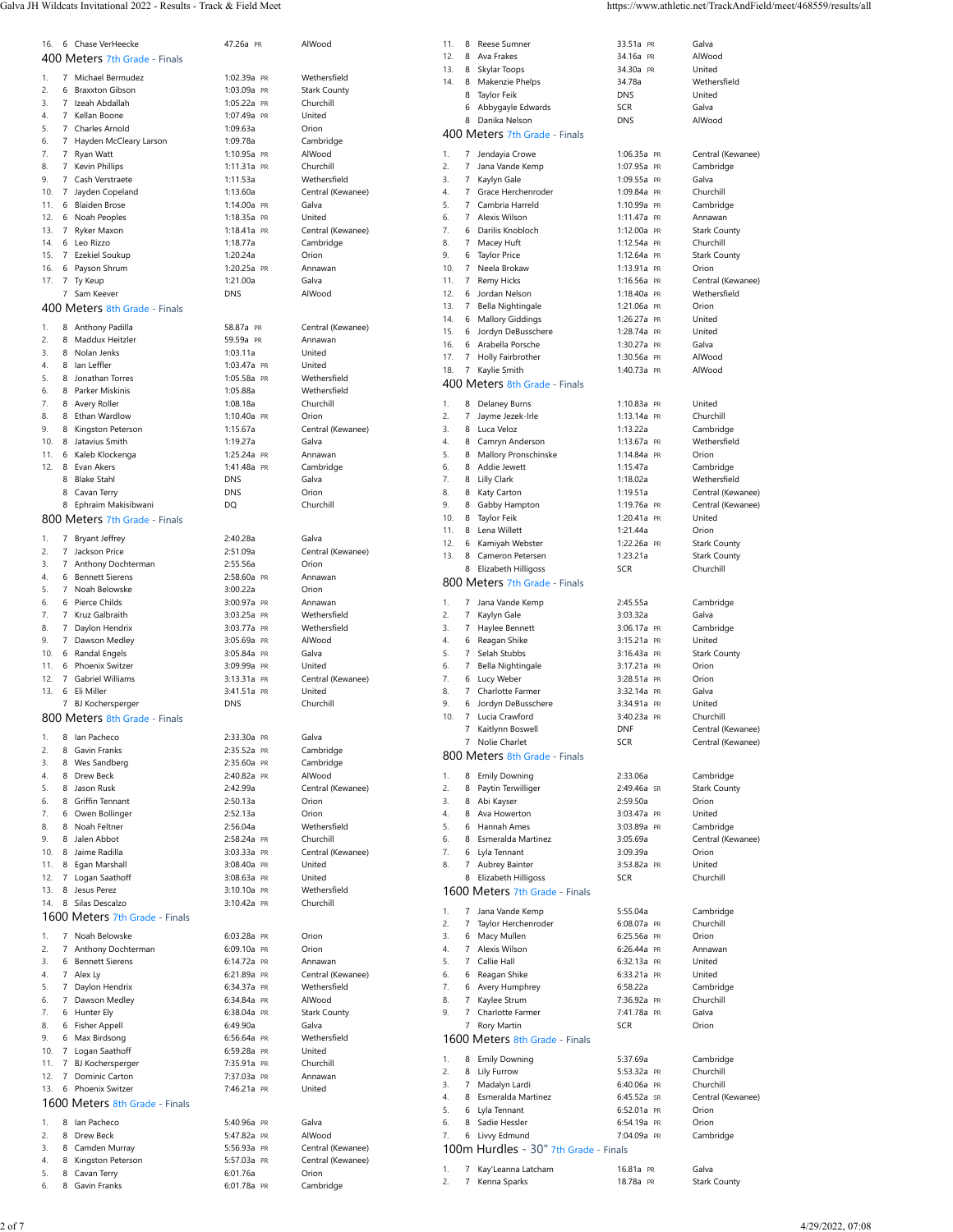Galva JH Wildcats Invitational 2022 - Results - Track & Field Meet https://www.athletic.net/TrackAndField/meet/468559/results/all

| 16.             |                     | 6 Chase VerHeecke                 | 47.26a PR                  | AlWood                    |
|-----------------|---------------------|-----------------------------------|----------------------------|---------------------------|
|                 |                     | 400 Meters 7th Grade - Finals     |                            |                           |
| 1.              | 7                   | Michael Bermudez                  | 1:02.39a PR                | Wethersfield              |
| 2.              | 6                   | <b>Braxxton Gibson</b>            | 1:03.09a PR                | <b>Stark County</b>       |
| 3.              | $\overline{7}$      | Izeah Abdallah                    | 1:05.22a PR                | Churchill                 |
| 4.              | $\overline{7}$      | Kellan Boone                      | 1:07.49a PR                | United                    |
| 5.              |                     | 7 Charles Arnold                  | 1:09.63a                   | Orion                     |
| 6.              | 7                   | Hayden McCleary Larson            | 1:09.78a<br>1:10.95a PR    | Cambridge                 |
| 7.<br>8.        | 7<br>$\overline{7}$ | Ryan Watt                         | 1:11.31a PR                | AlWood<br>Churchill       |
| 9.              | $\overline{7}$      | Kevin Phillips<br>Cash Verstraete | 1:11.53a                   | Wethersfield              |
| 10.             | $\overline{7}$      | Jayden Copeland                   | 1:13.60a                   | Central (Kewanee)         |
| 11.             |                     | 6 Blaiden Brose                   | 1:14.00a PR                | Galva                     |
| 12.             | 6                   | Noah Peoples                      | 1:18.35a PR                | United                    |
| 13.             | $\overline{7}$      | Ryker Maxon                       | 1:18.41a PR                | Central (Kewanee)         |
| 14.             | 6                   | Leo Rizzo                         | 1:18.77a                   | Cambridge                 |
| 15.             | $\overline{7}$      | Ezekiel Soukup                    | 1:20.24a                   | Orion                     |
| 16.             |                     | 6 Payson Shrum                    | 1:20.25a PR                | Annawan                   |
| 17.             | $\overline{7}$      | Ty Keup                           | 1:21.00a                   | Galva                     |
|                 | 7                   | Sam Keever                        | <b>DNS</b>                 | AlWood                    |
|                 |                     | 400 Meters 8th Grade - Finals     |                            |                           |
| 1.              |                     | 8 Anthony Padilla                 | 58.87a PR                  | Central (Kewanee)         |
| 2.              | 8                   | Maddux Heitzler                   | 59.59a PR                  | Annawan                   |
| 3.              |                     | 8 Nolan Jenks                     | 1:03.11a                   | United                    |
| 4.              |                     | 8 Ian Leffler                     | 1:03.47a PR                | United                    |
| 5.              | 8                   | Jonathan Torres                   | 1:05.58a PR                | Wethersfield              |
| 6.              |                     | 8 Parker Miskinis                 | 1:05.88a                   | Wethersfield              |
| 7.              |                     | 8 Avery Roller                    | 1:08.18a                   | Churchill                 |
| 8.              |                     | 8 Ethan Wardlow                   | 1:10.40a PR                | Orion                     |
| 9.              |                     | 8 Kingston Peterson               | 1:15.67a                   | Central (Kewanee)         |
| 10 <sub>1</sub> | 8                   | Jatavius Smith                    | 1:19.27a                   | Galva                     |
| 11.<br>12.      |                     | 6 Kaleb Klockenga<br>8 Evan Akers | 1:25.24a PR<br>1:41.48a PR | Annawan<br>Cambridge      |
|                 |                     | 8 Blake Stahl                     | <b>DNS</b>                 | Galva                     |
|                 |                     | 8 Cavan Terry                     | <b>DNS</b>                 | Orion                     |
|                 |                     | 8 Ephraim Makisibwani             | DQ                         | Churchill                 |
|                 |                     | 800 Meters 7th Grade - Finals     |                            |                           |
| 1.              |                     | 7 Bryant Jeffrey                  | 2:40.28a                   | Galva                     |
| 2.              |                     | 7 Jackson Price                   | 2:51.09a                   | Central (Kewanee)         |
| 3.              | $\overline{7}$      | Anthony Dochterman                | 2:55.56a                   | Orion                     |
| 4.              |                     | 6 Bennett Sierens                 | 2:58.60a PR                | Annawan                   |
| 5.              | 7                   | Noah Belowske                     | 3:00.22a                   | Orion                     |
| 6.              |                     | 6 Pierce Childs                   | 3:00.97a PR                | Annawan                   |
| 7.              | 7                   | Kruz Galbraith                    | 3:03.25a PR                | Wethersfield              |
| 8.              | 7                   | Daylon Hendrix                    | 3:03.77a PR                | Wethersfield              |
| 9.              | 7                   | Dawson Medley                     | 3:05.69a PR                | AlWood                    |
| 10.             |                     | 6 Randal Engels                   | 3:05.84a PR                | Galva                     |
| 11.             | 6                   | Phoenix Switzer                   | 3:09.99a PR                | United                    |
| 12.             | $\overline{7}$      | Gabriel Williams                  | 3:13.31a PR                | Central (Kewanee)         |
| 13.             | 6                   | Eli Miller                        | 3:41.51a PR                | United                    |
|                 | 7                   | BJ Kochersperger                  | <b>DNS</b>                 | Churchill                 |
|                 |                     | 800 Meters 8th Grade - Finals     |                            |                           |
| 1.              |                     | 8 Ian Pacheco                     | 2:33.30a PR                | Galva                     |
| 2.              |                     | 8 Gavin Franks                    | 2:35.52a PR                | Cambridge                 |
| 3.              |                     | 8 Wes Sandberg                    | 2:35.60a PR                | Cambridge                 |
| 4.              |                     | 8 Drew Beck                       | 2:40.82a PR                | AlWood                    |
| 5.              |                     | 8 Jason Rusk                      | 2:42.99a                   | Central (Kewanee)         |
| 6.              |                     | 8 Griffin Tennant                 | 2:50.13a                   | Orion                     |
| 7.              |                     | 6 Owen Bollinger                  | 2:52.13a                   | Orion                     |
| 8.<br>9.        |                     | 8 Noah Feltner<br>8 Jalen Abbot   | 2:56.04a                   | Wethersfield<br>Churchill |
| 10.             |                     | 8 Jaime Radilla                   | 2:58.24a PR<br>3:03.33a PR | Central (Kewanee)         |
| 11.             |                     | 8 Egan Marshall                   | 3:08.40a PR                | United                    |
| 12.             | $\overline{7}$      | Logan Saathoff                    | 3:08.63a PR                | United                    |
| 13.             |                     | 8 Jesus Perez                     | 3:10.10a PR                | Wethersfield              |
| 14.             |                     | 8 Silas Descalzo                  | 3:10.42a PR                | Churchill                 |
|                 |                     | 1600 Meters 7th Grade - Finals    |                            |                           |
| 1.              |                     | 7 Noah Belowske                   | 6:03.28a PR                | Orion                     |
| 2.              |                     | 7 Anthony Dochterman              | 6:09.10a PR                | Orion                     |
| 3.              |                     | 6 Bennett Sierens                 | 6:14.72a PR                | Annawan                   |
| 4.              |                     | 7 Alex Ly                         | 6:21.89a PR                | Central (Kewanee)         |
| 5.              |                     | 7 Daylon Hendrix                  | 6:34.37a PR                | Wethersfield              |
| 6.              |                     | 7 Dawson Medley                   | 6:34.84a PR                | AlWood                    |
| 7.              |                     | 6 Hunter Ely                      | 6:38.04a PR                | <b>Stark County</b>       |
| 8.              |                     | 6 Fisher Appell                   | 6:49.90a                   | Galva                     |
| 9.              |                     | 6 Max Birdsong                    | 6:56.64a PR                | Wethersfield              |
| 10.             |                     | 7 Logan Saathoff                  | 6:59.28a PR                | United                    |
| 11.             | $\overline{7}$      | BJ Kochersperger                  | 7:35.91a PR                | Churchill                 |
| 12.             | $\overline{7}$      | Dominic Carton                    | 7:37.03a PR                | Annawan                   |
| 13.             |                     | 6 Phoenix Switzer                 | 7:46.21a PR                | United                    |
|                 |                     | 1600 Meters 8th Grade - Finals    |                            |                           |
| 1.              |                     | 8 Ian Pacheco                     | 5:40.96a PR                | Galva                     |
| 2.              |                     | 8 Drew Beck                       | 5:47.82a PR                | AlWood                    |
| 3.              |                     | 8 Camden Murray                   | 5:56.93a PR                | Central (Kewanee)         |
| 4.              |                     | 8 Kingston Peterson               | 5:57.03a PR                | Central (Kewanee)         |

6. 8 [Gavin Franks](https://www.athletic.net/TrackAndField/Athlete.aspx?AID=19908259) [6:01.78a](https://www.athletic.net/result/5OiMzW6cNBHElKLril) [PR](https://www.athletic.net/post/5OiMzW6cNBHElKLril) [Cambridge](https://www.athletic.net/TrackAndField/School.aspx?SchoolID=30527)

| 1.       |   | 7 Michael Bermudez                   | 1:02.39a PR             | Wethersfield               |
|----------|---|--------------------------------------|-------------------------|----------------------------|
| 2.       |   | 6 Braxxton Gibson                    | 1:03.09a PR             | <b>Stark County</b>        |
| 3.       |   | 7 Izeah Abdallah                     | 1:05.22a PR             | Churchill                  |
| 4.       |   | 7 Kellan Boone                       | 1:07.49a PR             | United                     |
| 5.       |   | 7 Charles Arnold                     | 1:09.63a                | Orion                      |
| 6.       |   | 7 Hayden McCleary Larson             | 1:09.78a                | Cambridge                  |
| 7.       |   | 7 Ryan Watt                          | 1:10.95a PR             | AlWood                     |
| 8.       |   | 7 Kevin Phillips                     | 1:11.31a PR             | Churchill                  |
| 9.       |   |                                      |                         | Wethersfield               |
|          |   | 7 Cash Verstraete                    | 1:11.53a                |                            |
| 10.      |   | 7 Jayden Copeland                    | 1:13.60a                | Central (Kewanee)          |
| 11.      |   | 6 Blaiden Brose                      | 1:14.00a PR             | Galva                      |
| 12.      |   | 6 Noah Peoples                       | 1:18.35a PR             | United                     |
| 13.      |   | 7 Ryker Maxon                        | 1:18.41a PR             | Central (Kewanee)          |
| 14.      |   | 6 Leo Rizzo                          | 1:18.77a                | Cambridge                  |
| 15.      |   | 7 Ezekiel Soukup                     | 1:20.24a                | Orion                      |
| 16.      |   | 6 Payson Shrum                       | 1:20.25a PR             | Annawan                    |
| 17.      |   | 7 Ty Keup                            | 1:21.00a                | Galva                      |
|          |   | 7 Sam Keever                         | <b>DNS</b>              | AlWood                     |
|          |   | 400 Meters 8th Grade - Finals        |                         |                            |
|          |   |                                      |                         |                            |
| 1.       |   | 8 Anthony Padilla                    | 58.87a PR               | Central (Kewanee)          |
| 2.       |   | 8 Maddux Heitzler                    | 59.59a PR               | Annawan                    |
| 3.       |   | 8 Nolan Jenks                        | 1:03.11a                | United                     |
| 4.       |   | 8 Ian Leffler                        |                         | United                     |
|          |   |                                      | 1:03.47a PR             |                            |
| 5.       |   | 8 Jonathan Torres                    | 1:05.58a PR             | Wethersfield               |
| 6.       |   | 8 Parker Miskinis                    | 1:05.88a                | Wethersfield               |
| 7.       |   | 8 Avery Roller                       | 1:08.18a                | Churchill                  |
| 8.       |   | 8 Ethan Wardlow                      | 1:10.40a PR             | Orion                      |
| 9.       |   | 8 Kingston Peterson                  | 1:15.67a                | Central (Kewanee)          |
| 10.      |   | 8 Jatavius Smith                     | 1:19.27a                | Galva                      |
| 11.      |   | 6 Kaleb Klockenga                    | 1:25.24a PR             | Annawan                    |
| 12.      |   | 8 Evan Akers                         | 1:41.48a PR             | Cambridge                  |
|          |   | 8 Blake Stahl                        | DNS                     | Galva                      |
|          |   | 8 Cavan Terry                        | <b>DNS</b>              | Orion                      |
|          |   |                                      |                         |                            |
|          |   | 8 Ephraim Makisibwani                | DQ                      | Churchill                  |
|          |   | 800 Meters 7th Grade - Finals        |                         |                            |
| 1.       |   | 7 Bryant Jeffrey                     | 2:40.28a                | Galva                      |
| 2.       |   | 7 Jackson Price                      | 2:51.09a                | Central (Kewanee)          |
|          |   |                                      |                         |                            |
| 3.       |   | 7 Anthony Dochterman                 | 2:55.56a                | Orion                      |
| 4.       |   | 6 Bennett Sierens                    | 2:58.60a PR             | Annawan                    |
| 5.       |   | 7 Noah Belowske                      | 3:00.22a                | Orion                      |
| 6.       |   | 6 Pierce Childs                      | 3:00.97a PR             | Annawan                    |
| 7.       |   | 7 Kruz Galbraith                     | 3:03.25a PR             | Wethersfield               |
| 8.       |   | 7 Daylon Hendrix                     | 3:03.77a PR             | Wethersfield               |
| 9.       |   | 7 Dawson Medley                      | 3:05.69a PR             | AlWood                     |
| 10.      |   | 6 Randal Engels                      | 3:05.84a PR             | Galva                      |
| 11.      |   | 6 Phoenix Switzer                    | 3:09.99a PR             | United                     |
| 12.      |   | 7 Gabriel Williams                   | 3:13.31a PR             | Central (Kewanee)          |
| 13.      |   | 6 Eli Miller                         | 3:41.51a PR             | United                     |
|          | 7 | BJ Kochersperger                     | DNS                     | Churchill                  |
|          |   |                                      |                         |                            |
|          |   | 800 Meters 8th Grade - Finals        |                         |                            |
|          |   |                                      | 2:33.30a PR             | Galva                      |
| 1.       |   | 8 Ian Pacheco                        |                         |                            |
|          |   |                                      |                         |                            |
| 2.       |   | 8 Gavin Franks                       | 2:35.52a PR             | Cambridge                  |
| 3.       |   | 8 Wes Sandberg                       | 2:35.60a PR             | Cambridge                  |
| 4.       |   | 8 Drew Beck                          | 2:40.82a PR             | AlWood                     |
| 5.       |   | 8 Jason Rusk                         | 2:42.99a                | Central (Kewanee)          |
| 6.       |   | 8 Griffin Tennant                    | 2:50.13a                | Orion                      |
| 7.       |   | 6 Owen Bollinger                     | 2:52.13a                | Orion                      |
| 8.       |   | 8 Noah Feltner                       | 2:56.04a                | Wethersfield               |
| 9.       |   | 8 Jalen Abbot                        | 2:58.24a PR             | Churchill                  |
| 10.      |   | 8 Jaime Radilla                      | 3:03.33a PR             | Central (Kewanee)          |
| 11.      |   | 8 Egan Marshall                      | 3:08.40a PR             | United                     |
| 12.      |   | 7 Logan Saathoff                     | 3:08.63a PR             | United                     |
| 13.      |   | 8 Jesus Perez                        | 3:10.10a PR             | Wethersfield               |
| 14.      |   | 8 Silas Descalzo                     | 3:10.42a PR             | Churchill                  |
|          |   |                                      |                         |                            |
|          |   | 1600 Meters 7th Grade - Finals       |                         |                            |
| 1.       |   | 7 Noah Belowske                      | 6:03.28a PR             | Orion                      |
| 2.       |   | 7 Anthony Dochterman                 | 6:09.10a PR             | Orion                      |
| 3.       |   | 6 Bennett Sierens                    | 6:14.72a PR             | Annawan                    |
| 4.       |   | 7 Alex Ly                            | 6:21.89a PR             | Central (Kewanee)          |
| 5.       |   | 7 Daylon Hendrix                     | 6:34.37a PR             | Wethersfield               |
| 6.       |   | 7 Dawson Medley                      | 6:34.84a PR             | AlWood                     |
|          |   |                                      | 6:38.04a PR             |                            |
| 7.       |   | 6 Hunter Ely                         |                         | <b>Stark County</b>        |
| 8.       |   | 6 Fisher Appell                      | 6:49.90a                | Galva                      |
| 9.       |   | 6 Max Birdsong                       | 6:56.64a PR             | Wethersfield               |
| 10.      |   | 7 Logan Saathoff                     | 6:59.28a PR             | United                     |
| 11.      |   | 7 BJ Kochersperger                   | 7:35.91a PR             | Churchill                  |
| 12.      |   | 7 Dominic Carton                     | 7:37.03a PR             | Annawan                    |
| 13.      |   | 6 Phoenix Switzer                    | 7:46.21a PR             | United                     |
|          |   | 1600 Meters 8th Grade - Finals       |                         |                            |
|          |   |                                      |                         |                            |
| 1.       |   | 8 Ian Pacheco                        | 5:40.96a PR             | Galva                      |
| 2.       |   | 8 Drew Beck                          | 5:47.82a PR             | AlWood                     |
| 3.       |   | 8 Camden Murray                      | 5:56.93a PR             | Central (Kewanee)          |
| 4.<br>5. |   | 8 Kingston Peterson<br>8 Cavan Terry | 5:57.03a PR<br>6:01.76a | Central (Kewanee)<br>Orion |

| 11.        |                     | 8 Reese Sumner                                 | 33.51a PR                  | Galva                      |
|------------|---------------------|------------------------------------------------|----------------------------|----------------------------|
| 12.        |                     | 8 Ava Frakes                                   | 34.16a PR                  | AlWood                     |
| 13.        |                     | 8 Skylar Toops                                 | 34.30a PR                  | United                     |
| 14.        |                     | 8 Makenzie Phelps                              | 34.78a                     | Wethersfield               |
|            |                     | 8 Taylor Feik<br>6 Abbygayle Edwards           | <b>DNS</b><br><b>SCR</b>   | United<br>Galva            |
|            | 8                   | Danika Nelson                                  | <b>DNS</b>                 | AlWood                     |
|            |                     | 400 Meters 7th Grade - Finals                  |                            |                            |
| 1.         | 7                   | Jendayia Crowe                                 | 1:06.35a PR                | Central (Kewanee)          |
| 2.         | 7                   | Jana Vande Kemp                                | 1:07.95a PR                | Cambridge                  |
| 3.         |                     | 7 Kaylyn Gale                                  | 1:09.55a PR                | Galva                      |
| 4.         | $7^{\circ}$         | Grace Herchenroder                             | 1:09.84a PR                | Churchill                  |
| 5.         | $7^{\circ}$         | Cambria Harreld                                | 1:10.99a PR                | Cambridge                  |
| 6.         | 7                   | Alexis Wilson                                  | 1:11.47a PR                | Annawan                    |
| 7.         |                     | 6 Darilis Knobloch                             | 1:12.00a PR                | <b>Stark County</b>        |
| 8.         |                     | 7 Macey Huft                                   | 1:12.54a PR                | Churchill                  |
| 9.         |                     | 6 Taylor Price                                 | 1:12.64a PR                | <b>Stark County</b>        |
| 10.        |                     | 7 Neela Brokaw                                 | 1:13.91a PR                | Orion                      |
| 11.        |                     | 7 Remy Hicks                                   | 1:16.56a PR                | Central (Kewanee)          |
| 12.        |                     | 6 Jordan Nelson                                | 1:18.40a PR                | Wethersfield               |
| 13.<br>14. | $7^{\circ}$         | Bella Nightingale                              | 1:21.06a PR<br>1:26.27a PR | Orion<br>United            |
| 15.        |                     | 6 Mallory Giddings<br>6 Jordyn DeBusschere     | 1:28.74a PR                | United                     |
| 16.        |                     | 6 Arabella Porsche                             | 1:30.27a PR                | Galva                      |
| 17.        | 7                   | Holly Fairbrother                              | 1:30.56a PR                | AlWood                     |
| 18.        | 7                   | Kaylie Smith                                   | 1:40.73a PR                | AlWood                     |
|            |                     | 400 Meters 8th Grade - Finals                  |                            |                            |
| 1.         | 8                   |                                                | 1:10.83a PR                | United                     |
| 2.         | $\overline{7}$      | Delaney Burns<br>Jayme Jezek-Irle              | 1:13.14a PR                | Churchill                  |
| 3.         |                     | 8 Luca Veloz                                   | 1:13.22a                   | Cambridge                  |
| 4.         |                     | 8 Camryn Anderson                              | 1:13.67a PR                | Wethersfield               |
| 5.         | 8                   | Mallory Pronschinske                           | 1:14.84a PR                | Orion                      |
| 6.         |                     | 8 Addie Jewett                                 | 1:15.47a                   | Cambridge                  |
| 7.         |                     | 8 Lilly Clark                                  | 1:18.02a                   | Wethersfield               |
| 8.         | 8                   | Katy Carton                                    | 1:19.51a                   | Central (Kewanee)          |
| 9.         |                     | 8 Gabby Hampton                                | 1:19.76a PR                | Central (Kewanee)          |
| 10.        |                     | 8 Taylor Feik                                  | 1:20.41a PR                | United                     |
| 11.        |                     | 8 Lena Willett                                 | 1:21.44a                   | Orion                      |
| 12.        |                     | 6 Kamiyah Webster                              | 1:22.26a PR                | <b>Stark County</b>        |
| 13.        |                     | 8 Cameron Petersen                             | 1:23.21a                   | <b>Stark County</b>        |
|            | 8                   | Elizabeth Hilligoss                            | <b>SCR</b>                 | Churchill                  |
|            |                     | 800 Meters 7th Grade - Finals                  |                            |                            |
| 1.         | 7                   | Jana Vande Kemp                                | 2:45.55a                   | Cambridge                  |
| 2.         | $\overline{7}$      | Kaylyn Gale                                    | 3:03.32a                   | Galva                      |
| 3.         |                     | 7 Haylee Bennett                               | 3:06.17a PR                | Cambridge                  |
| 4.         |                     | 6 Reagan Shike                                 | 3:15.21a PR                | United                     |
| 5.         |                     | 7 Selah Stubbs                                 | 3:16.43a PR                | <b>Stark County</b>        |
| 6.         | 7                   | Bella Nightingale                              | 3:17.21a PR                | Orion                      |
| 7.         |                     | 6 Lucy Weber                                   | 3:28.51a PR                | Orion                      |
| 8.         |                     | 7 Charlotte Farmer                             | 3:32.14a PR                | Galva                      |
| 9.         | 6                   | Jordyn DeBusschere                             | 3:34.91a PR                | United                     |
| 10.        | 7                   | Lucia Crawford                                 | 3:40.23a PR                | Churchill                  |
|            | 7<br>$\overline{7}$ | Kaitlynn Boswell                               | <b>DNF</b>                 | Central (Kewanee)          |
|            |                     | Nolie Charlet<br>800 Meters 8th Grade - Finals | <b>SCR</b>                 | Central (Kewanee)          |
|            |                     |                                                |                            |                            |
| 1.         |                     | 8 Emily Downing                                | 2:33.06a                   | Cambridge                  |
| 2.         | 8                   | Paytin Terwilliger                             | 2:49.46a SR                | <b>Stark County</b>        |
| 3.         |                     | 8 Abi Kayser                                   | 2:59.50a                   | Orion                      |
| 4.         |                     | 8 Ava Howerton                                 | 3:03.47a PR                | United                     |
| 5.         |                     | 6 Hannah Ames                                  | 3:03.89a PR                | Cambridge                  |
| 6.<br>7.   |                     | 8 Esmeralda Martinez<br>6 Lyla Tennant         | 3:05.69a<br>3:09.39a       | Central (Kewanee)<br>Orion |
| 8.         |                     | 7 Aubrey Bainter                               | 3:53.82a PR                | United                     |
|            |                     | 8 Elizabeth Hilligoss                          | <b>SCR</b>                 | Churchill                  |
|            |                     | 1600 Meters 7th Grade - Finals                 |                            |                            |
|            |                     |                                                |                            |                            |
| 1.         | 7                   | Jana Vande Kemp                                | 5:55.04a                   | Cambridge                  |
| 2.         | 7                   | Taylor Herchenroder                            | 6:08.07a PR                | Churchill                  |
| 3.         |                     | 6 Macy Mullen                                  | 6:25.56a PR                | Orion                      |
| 4.         |                     | 7 Alexis Wilson                                | 6:26.44a PR                | Annawan                    |
| 5.<br>6.   |                     | 7 Callie Hall<br>6 Reagan Shike                | 6:32.13a PR<br>6:33.21a PR | United<br>United           |
| 7.         |                     | 6 Avery Humphrey                               | 6:58.22a                   | Cambridge                  |
| 8.         |                     | 7 Kaylee Strum                                 | 7:36.92a PR                | Churchill                  |
| 9.         |                     | 7 Charlotte Farmer                             | 7:41.78a PR                | Galva                      |
|            | 7                   | Rory Martin                                    | <b>SCR</b>                 | Orion                      |
|            |                     | 1600 Meters 8th Grade - Finals                 |                            |                            |
| 1.         |                     |                                                |                            |                            |
| 2.         | 8                   | <b>Emily Downing</b>                           | 5:37.69a<br>5:53.32a PR    | Cambridge                  |
| 3.         |                     | 8 Lily Furrow<br>7 Madalyn Lardi               | 6:40.06a PR                | Churchill<br>Churchill     |
| 4.         |                     | 8 Esmeralda Martinez                           | 6:45.52a SR                | Central (Kewanee)          |
| 5.         |                     | 6 Lyla Tennant                                 | 6:52.01a PR                | Orion                      |
| 6.         |                     | 8 Sadie Hessler                                | 6:54.19a PR                | Orion                      |
| 7.         |                     | 6 Livvy Edmund                                 | 7:04.09a PR                | Cambridge                  |
|            |                     | 100m Hurdles - 30" 7th Grade - Finals          |                            |                            |
|            |                     |                                                |                            |                            |
| 1.<br>2.   | 7<br>7              | Kay'Leanna Latcham                             | 16.81a PR<br>18.78a PR     | Galva                      |
|            |                     | Kenna Sparks                                   |                            | <b>Stark County</b>        |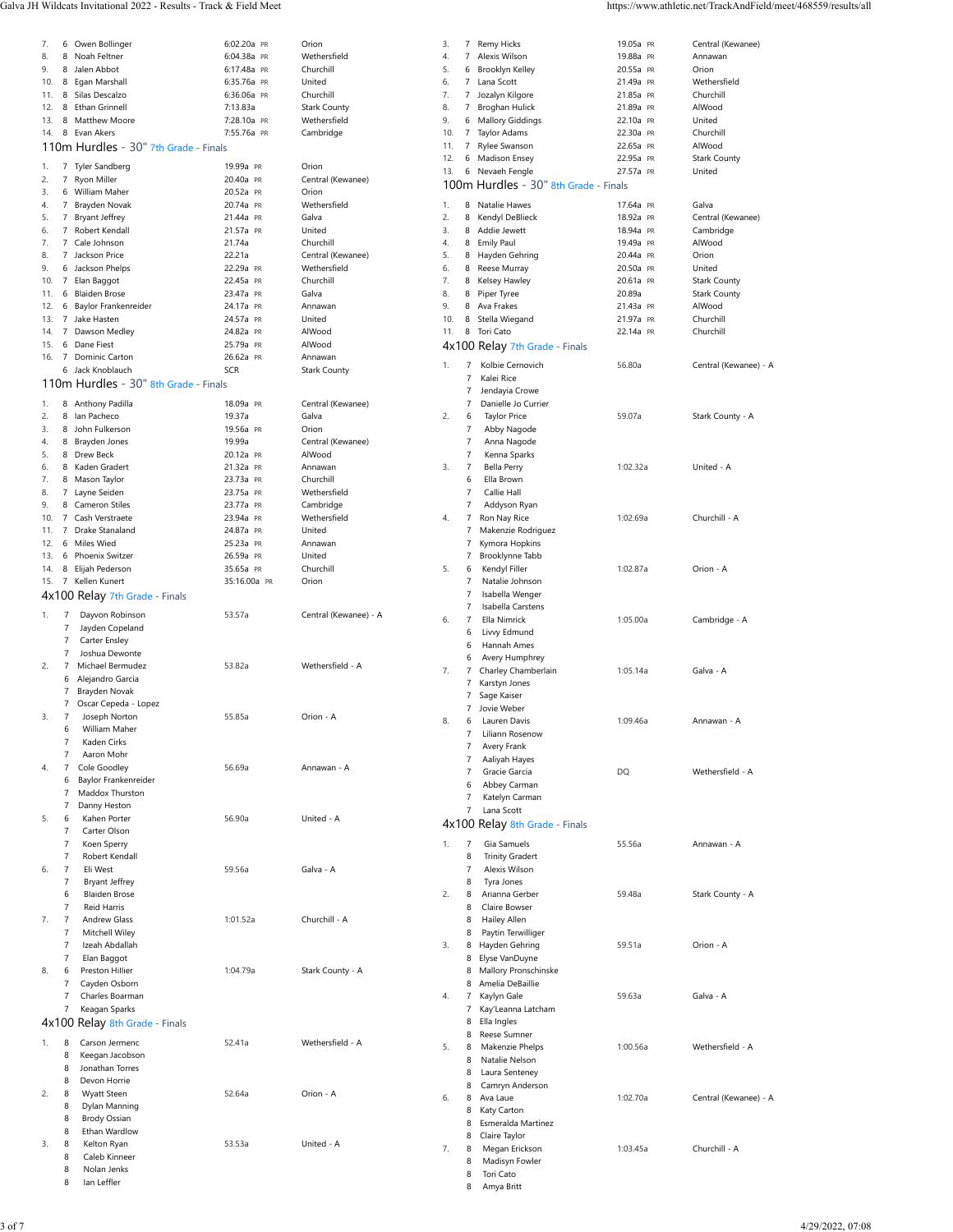| 7.  | 6              | Owen Bollinger                        | 6:02.20a PR  | Orion                 | 3.  | 7                | Remy Hicks                            | 19.05a PR | Central (Kewanee)     |
|-----|----------------|---------------------------------------|--------------|-----------------------|-----|------------------|---------------------------------------|-----------|-----------------------|
| 8.  | 8              | Noah Feltner                          | 6:04.38a PR  | Wethersfield          | 4.  | 7                | Alexis Wilson                         | 19.88a PR | Annawan               |
| 9.  | 8              | Jalen Abbot                           | 6:17.48a PR  | Churchill             | 5.  | 6                | Brooklyn Kelley                       | 20.55a PR | Orion                 |
| 10. | 8              | Egan Marshall                         | 6:35.76a PR  | United                | 6.  | 7                | Lana Scott                            | 21.49a PR | Wethersfield          |
| 11. |                | 8 Silas Descalzo                      | 6:36.06a PR  | Churchill             | 7.  | 7                | Jozalyn Kilgore                       | 21.85a PR | Churchill             |
| 12. | 8              | Ethan Grinnell                        | 7:13.83a     | <b>Stark County</b>   | 8.  | 7                | <b>Broghan Hulick</b>                 | 21.89a PR | AlWood                |
| 13. | 8              | <b>Matthew Moore</b>                  | 7:28.10a PR  | Wethersfield          | 9.  | 6                | <b>Mallory Giddings</b>               | 22.10a PR | United                |
| 14. | 8              | Evan Akers                            | 7:55.76a PR  | Cambridge             | 10. | 7                | Taylor Adams                          | 22.30a PR | Churchill             |
|     |                |                                       |              |                       | 11. | 7                | Rylee Swanson                         | 22.65a PR | AlWood                |
|     |                | 110m Hurdles - 30" 7th Grade - Finals |              |                       |     |                  | Madison Ensey                         |           |                       |
| 1.  | 7              | Tyler Sandberg                        | 19.99a PR    | Orion                 | 12. | 6                |                                       | 22.95a PR | <b>Stark County</b>   |
| 2.  | $\overline{7}$ | Ryon Miller                           | 20.40a PR    | Central (Kewanee)     | 13. | 6                | Nevaeh Fengle                         | 27.57a PR | United                |
| 3.  | 6              | <b>William Maher</b>                  | 20.52a PR    | Orion                 |     |                  | 100m Hurdles - 30" 8th Grade - Finals |           |                       |
| 4.  |                | 7 Brayden Novak                       | 20.74a PR    | Wethersfield          | 1.  | 8                | Natalie Hawes                         | 17.64a PR | Galva                 |
|     | $\overline{7}$ |                                       |              | Galva                 | 2.  | 8                | Kendyl DeBlieck                       | 18.92a PR | Central (Kewanee)     |
| 5.  |                | <b>Bryant Jeffrey</b>                 | 21.44a PR    |                       |     |                  |                                       |           |                       |
| 6.  | 7              | Robert Kendall                        | 21.57a PR    | United                | 3.  | 8                | Addie Jewett                          | 18.94a PR | Cambridge             |
| 7.  | $\overline{7}$ | Cale Johnson                          | 21.74a       | Churchill             | 4.  | 8                | <b>Emily Paul</b>                     | 19.49a PR | AlWood                |
| 8.  |                | 7 Jackson Price                       | 22.21a       | Central (Kewanee)     | 5.  | 8                | Hayden Gehring                        | 20.44a PR | Orion                 |
| 9.  |                | 6 Jackson Phelps                      | 22.29a PR    | Wethersfield          | 6.  | 8                | Reese Murray                          | 20.50a PR | United                |
| 10. |                | 7 Elan Baggot                         | 22.45a PR    | Churchill             | 7.  | 8                | Kelsey Hawley                         | 20.61a PR | <b>Stark County</b>   |
| 11. | 6              | <b>Blaiden Brose</b>                  | 23.47a PR    | Galva                 | 8.  | 8                | Piper Tyree                           | 20.89a    | <b>Stark County</b>   |
| 12. | 6              | Baylor Frankenreider                  | 24.17a PR    | Annawan               | 9.  | 8                | Ava Frakes                            | 21.43a PR | AlWood                |
| 13. | $\overline{7}$ | Jake Hasten                           | 24.57a PR    | United                | 10. | 8                | Stella Wiegand                        | 21.97a PR | Churchill             |
| 14. | 7              | Dawson Medley                         | 24.82a PR    | AlWood                | 11. | 8                | Tori Cato                             | 22.14a PR | Churchill             |
| 15. | 6              | Dane Fiest                            | 25.79a PR    | AlWood                |     |                  | 4x100 Relay 7th Grade - Finals        |           |                       |
| 16. | $\overline{7}$ | Dominic Carton                        | 26.62a PR    | Annawan               |     |                  |                                       |           |                       |
|     |                | 6 Jack Knoblauch                      | <b>SCR</b>   | <b>Stark County</b>   | 1.  | 7                | Kolbie Cernovich                      | 56.80a    | Central (Kewanee) - A |
|     |                |                                       |              |                       |     | $\overline{7}$   | Kalei Rice                            |           |                       |
|     |                | 110m Hurdles - 30" 8th Grade - Finals |              |                       |     | 7                | Jendayia Crowe                        |           |                       |
| 1.  |                | 8 Anthony Padilla                     | 18.09a PR    | Central (Kewanee)     |     | 7                | Danielle Jo Currier                   |           |                       |
| 2.  | 8              | lan Pacheco                           | 19.37a       | Galva                 | 2.  | 6                | <b>Taylor Price</b>                   | 59.07a    | Stark County - A      |
|     |                |                                       |              |                       |     |                  |                                       |           |                       |
| 3.  |                | 8 John Fulkerson                      | 19.56a PR    | Orion                 |     | $\overline{7}$   | Abby Nagode                           |           |                       |
| 4.  |                | 8 Brayden Jones                       | 19.99a       | Central (Kewanee)     |     | $\overline{7}$   | Anna Nagode                           |           |                       |
| 5.  |                | 8 Drew Beck                           | 20.12a PR    | AlWood                |     | 7                | Kenna Sparks                          |           |                       |
| 6.  | 8              | Kaden Gradert                         | 21.32a PR    | Annawan               | 3.  | 7                | <b>Bella Perry</b>                    | 1:02.32a  | United - A            |
| 7.  |                | 8 Mason Taylor                        | 23.73a PR    | Churchill             |     | 6                | Ella Brown                            |           |                       |
| 8.  | 7              | Layne Seiden                          | 23.75a PR    | Wethersfield          |     | $\overline{7}$   | Callie Hall                           |           |                       |
| 9.  | 8              | <b>Cameron Stiles</b>                 | 23.77a PR    | Cambridge             |     | $\overline{7}$   | Addyson Ryan                          |           |                       |
| 10. | $\overline{7}$ | Cash Verstraete                       | 23.94a PR    | Wethersfield          | 4.  | $\boldsymbol{7}$ | Ron Nay Rice                          | 1:02.69a  | Churchill - A         |
| 11. | 7              | Drake Stanaland                       | 24.87a PR    | United                |     | $\boldsymbol{7}$ | Makenzie Rodriguez                    |           |                       |
| 12. | 6              | Miles Wied                            | 25.23a PR    | Annawan               |     | 7                | Kymora Hopkins                        |           |                       |
| 13. | 6              | Phoenix Switzer                       | 26.59a PR    | United                |     | 7                | Brooklynne Tabb                       |           |                       |
| 14. | 8              | Elijah Pederson                       | 35.65a PR    | Churchill             | 5.  | 6                | Kendyl Filler                         | 1:02.87a  | Orion - A             |
| 15. | $\overline{7}$ | Kellen Kunert                         |              | Orion                 |     | $\overline{7}$   | Natalie Johnson                       |           |                       |
|     |                |                                       | 35:16.00a PR |                       |     |                  |                                       |           |                       |
|     |                | 4x100 Relay 7th Grade - Finals        |              |                       |     | 7                | Isabella Wenger                       |           |                       |
| 1.  | 7              | Dayvon Robinson                       | 53.57a       | Central (Kewanee) - A |     | 7                | Isabella Carstens                     |           |                       |
|     | $\overline{7}$ | Jayden Copeland                       |              |                       | 6.  | $\overline{7}$   | Ella Nimrick                          | 1:05.00a  | Cambridge - A         |
|     | 7              | Carter Ensley                         |              |                       |     | 6                | Livvy Edmund                          |           |                       |
|     |                |                                       |              |                       |     | 6                | Hannah Ames                           |           |                       |
|     | 7              | Joshua Dewonte                        |              |                       |     | 6                | Avery Humphrey                        |           |                       |
| 2.  | $\overline{7}$ | Michael Bermudez                      | 53.82a       | Wethersfield - A      | 7.  | 7                | Charley Chamberlain                   | 1:05.14a  | Galva - A             |
|     | 6              | Alejandro Garcia                      |              |                       |     | 7                | Karstyn Jones                         |           |                       |
|     | 7              | Brayden Novak                         |              |                       |     | 7                | Sage Kaiser                           |           |                       |
|     | $\overline{7}$ | Oscar Cepeda - Lopez                  |              |                       |     | 7                | Jovie Weber                           |           |                       |
| 3.  | 7              | Joseph Norton                         | 55.85a       | Orion - A             | 8.  | 6                | Lauren Davis                          | 1:09.46a  | Annawan - A           |
|     | 6              | William Maher                         |              |                       |     |                  | Liliann Rosenow                       |           |                       |
|     | $\overline{7}$ | Kaden Cirks                           |              |                       |     | 7                | Avery Frank                           |           |                       |
|     | $\overline{7}$ | Aaron Mohr                            |              |                       |     | 7                |                                       |           |                       |
| 4.  | $\overline{7}$ | Cole Goodley                          | 56.69a       | Annawan - A           |     |                  | Aaliyah Hayes                         |           |                       |
|     | 6              | Baylor Frankenreider                  |              |                       |     | 7                | Gracie Garcia                         | <b>DQ</b> | Wethersfield - A      |
|     | 7              | Maddox Thurston                       |              |                       |     | 6                | Abbey Carman                          |           |                       |
|     | 7              | Danny Heston                          |              |                       |     | 7                | Katelyn Carman                        |           |                       |
|     | 6              |                                       | 56.90a       | United - A            |     | $\overline{7}$   | Lana Scott                            |           |                       |
| 5.  |                | Kahen Porter                          |              |                       |     |                  | 4x100 Relay 8th Grade - Finals        |           |                       |
|     | $\overline{7}$ | Carter Olson                          |              |                       |     |                  |                                       |           |                       |
|     | $\overline{7}$ | Koen Sperry                           |              |                       | 1.  | 7                | Gia Samuels                           | 55.56a    | Annawan - A           |
|     | $\overline{7}$ | Robert Kendall                        |              |                       |     | 8                | <b>Trinity Gradert</b>                |           |                       |
| 6.  | $\overline{7}$ | Eli West                              | 59.56a       | Galva - A             |     | $\overline{7}$   | Alexis Wilson                         |           |                       |
|     | $\overline{7}$ | <b>Bryant Jeffrey</b>                 |              |                       |     | 8                | Tyra Jones                            |           |                       |
|     | 6              | <b>Blaiden Brose</b>                  |              |                       | 2.  | 8                | Arianna Gerber                        | 59.48a    | Stark County - A      |
|     | $\overline{7}$ | <b>Reid Harris</b>                    |              |                       |     | 8                | Claire Bowser                         |           |                       |
| 7.  | $\overline{7}$ | Andrew Glass                          | 1:01.52a     | Churchill - A         |     | 8                | Hailey Allen                          |           |                       |
|     | $\overline{7}$ | Mitchell Wiley                        |              |                       |     | 8                | Paytin Terwilliger                    |           |                       |
|     | $\overline{7}$ | Izeah Abdallah                        |              |                       | 3.  |                  | 8 Hayden Gehring                      | 59.51a    | Orion - A             |
|     | $\overline{7}$ | Elan Baggot                           |              |                       |     | 8                | Elyse VanDuyne                        |           |                       |
| 8.  | 6              | Preston Hillier                       | 1:04.79a     | Stark County - A      |     | 8                | Mallory Pronschinske                  |           |                       |
|     | 7              | Cayden Osborn                         |              |                       |     | 8                | Amelia DeBaillie                      |           |                       |
|     | 7              | Charles Boarman                       |              |                       | 4.  | 7                | Kaylyn Gale                           | 59.63a    | Galva - A             |
|     | $\overline{7}$ | Keagan Sparks                         |              |                       |     | 7                | Kay'Leanna Latcham                    |           |                       |
|     |                |                                       |              |                       |     | 8                | Ella Ingles                           |           |                       |
|     |                | 4x100 Relay 8th Grade - Finals        |              |                       |     |                  |                                       |           |                       |
| 1.  | 8              | Carson Jermenc                        | 52.41a       | Wethersfield - A      |     | 8                | Reese Sumner                          | 1:00.56a  |                       |
|     | 8              | Keegan Jacobson                       |              |                       | 5.  | 8                | Makenzie Phelps                       |           | Wethersfield - A      |
|     | 8              | Jonathan Torres                       |              |                       |     | 8                | Natalie Nelson                        |           |                       |
|     | 8              | Devon Horrie                          |              |                       |     | 8                | Laura Senteney                        |           |                       |
|     | 8              |                                       | 52.64a       | Orion - A             |     | 8                | Camryn Anderson                       |           |                       |
| 2.  |                | <b>Wyatt Steen</b>                    |              |                       | 6.  | 8                | Ava Laue                              | 1:02.70a  | Central (Kewanee) - A |
|     | 8              | Dylan Manning                         |              |                       |     | 8                | Katy Carton                           |           |                       |
|     | 8              | Brody Ossian                          |              |                       |     | 8                | Esmeralda Martinez                    |           |                       |
|     | 8              | Ethan Wardlow                         |              |                       |     | 8                | Claire Taylor                         |           |                       |
| 3.  | 8              | Kelton Ryan                           | 53.53a       | United - A            | 7.  | 8                | Megan Erickson                        | 1:03.45a  | Churchill - A         |
|     | 8              | Caleb Kinneer                         |              |                       |     | 8                | Madisyn Fowler                        |           |                       |
|     | 8              | Nolan Jenks                           |              |                       |     | 8                | Tori Cato                             |           |                       |
|     | 8              | lan Leffler                           |              |                       |     | 8                | Amya Britt                            |           |                       |
|     |                |                                       |              |                       |     |                  |                                       |           |                       |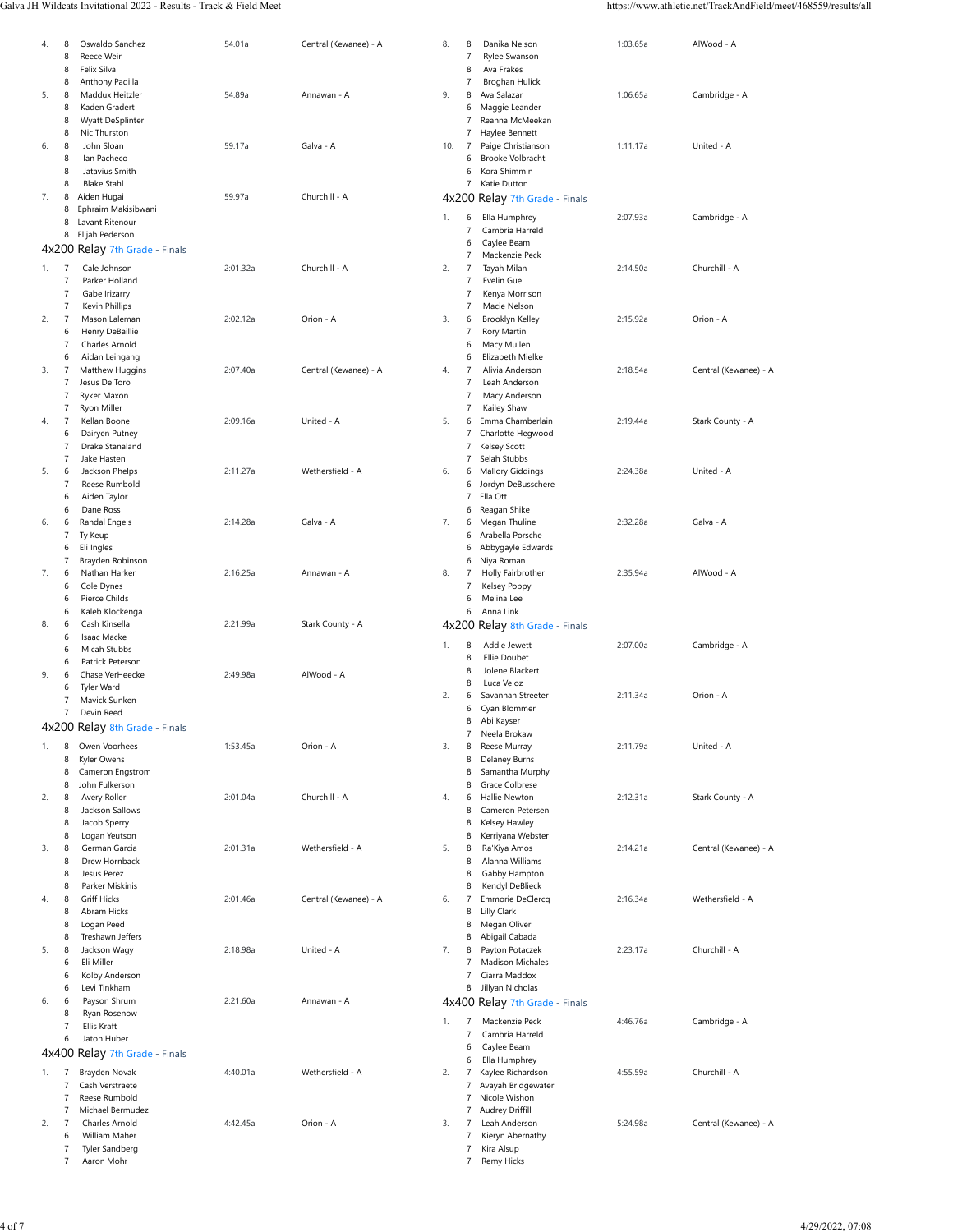#### Galva JH Wildcats Invitational 2022 - Results - Track & Field Meet https://www.athletic.net/TrackAndField/meet/468559/results/all

| 8<br>4.              | Oswaldo Sanchez                     | 54.01a   | Central (Kewanee) - A | 8.<br>8              | Danika Nelson                  | 1:03.65a | AlWood - A            |
|----------------------|-------------------------------------|----------|-----------------------|----------------------|--------------------------------|----------|-----------------------|
| 8                    | Reece Weir                          |          |                       | $\overline{7}$       | Rylee Swanson                  |          |                       |
| 8                    | Felix Silva                         |          |                       | 8                    | Ava Frakes                     |          |                       |
| 8                    | Anthony Padilla                     |          |                       | $\overline{7}$       | Broghan Hulick                 |          |                       |
| 5.<br>8              | Maddux Heitzler                     | 54.89a   | Annawan - A           | 9.<br>8              | Ava Salazar                    | 1:06.65a | Cambridge - A         |
| 8                    | Kaden Gradert                       |          |                       | 6                    | Maggie Leander                 |          |                       |
| 8                    | Wyatt DeSplinter                    |          |                       | 7                    | Reanna McMeekan                |          |                       |
| 8                    | Nic Thurston                        |          |                       | 7                    | Haylee Bennett                 |          |                       |
|                      |                                     |          |                       |                      |                                |          |                       |
| 6.<br>8              | John Sloan                          | 59.17a   | Galva - A             | 10.<br>7             | Paige Christianson             | 1:11.17a | United - A            |
| 8                    | Ian Pacheco                         |          |                       | 6                    | <b>Brooke Volbracht</b>        |          |                       |
| 8                    | Jatavius Smith                      |          |                       | 6                    | Kora Shimmin                   |          |                       |
| 8                    | <b>Blake Stahl</b>                  |          |                       | $\overline{7}$       | Katie Dutton                   |          |                       |
| 7.<br>8              | Aiden Hugai                         | 59.97a   | Churchill - A         | 4x200                | Relay 7th Grade - Finals       |          |                       |
| 8                    | Ephraim Makisibwani                 |          |                       |                      |                                |          |                       |
| 8                    | Lavant Ritenour                     |          |                       | 1.<br>6              | Ella Humphrey                  | 2:07.93a | Cambridge - A         |
| 8                    | Elijah Pederson                     |          |                       | 7                    | Cambria Harreld                |          |                       |
|                      |                                     |          |                       | 6                    | Caylee Beam                    |          |                       |
|                      | 4x200 Relay 7th Grade - Finals      |          |                       | 7                    | Mackenzie Peck                 |          |                       |
| $\overline{7}$<br>1. | Cale Johnson                        | 2:01.32a | Churchill - A         | 2.<br>7              | Tayah Milan                    | 2:14.50a | Churchill - A         |
| 7                    | Parker Holland                      |          |                       | $\overline{7}$       | Evelin Guel                    |          |                       |
|                      |                                     |          |                       |                      |                                |          |                       |
| 7                    | Gabe Irizarry                       |          |                       | 7                    | Kenya Morrison                 |          |                       |
| 7                    | Kevin Phillips                      |          |                       | $\overline{7}$       | Macie Nelson                   |          |                       |
| 2.<br>$\overline{7}$ | Mason Laleman                       | 2:02.12a | Orion - A             | 3.<br>6              | Brooklyn Kelley                | 2:15.92a | Orion - A             |
| 6                    | Henry DeBaillie                     |          |                       | 7                    | Rory Martin                    |          |                       |
| 7                    | Charles Arnold                      |          |                       | 6                    | Macy Mullen                    |          |                       |
| 6                    | Aidan Leingang                      |          |                       | 6                    | Elizabeth Mielke               |          |                       |
| 3.<br>$\overline{7}$ | Matthew Huggins                     | 2:07.40a | Central (Kewanee) - A | 4.<br>$\overline{7}$ | Alivia Anderson                | 2:18.54a | Central (Kewanee) - A |
| 7                    | Jesus DelToro                       |          |                       | $\overline{7}$       | Leah Anderson                  |          |                       |
| 7                    | Ryker Maxon                         |          |                       | $\overline{7}$       | Macy Anderson                  |          |                       |
|                      |                                     |          |                       |                      | Kailey Shaw                    |          |                       |
| 7                    | Ryon Miller                         |          |                       | 7                    |                                |          |                       |
| $\overline{7}$<br>4. | Kellan Boone                        | 2:09.16a | United - A            | 5.<br>6              | Emma Chamberlain               | 2:19.44a | Stark County - A      |
| 6                    | Dairyen Putney                      |          |                       | 7                    | Charlotte Hegwood              |          |                       |
| 7                    | Drake Stanaland                     |          |                       | 7                    | Kelsey Scott                   |          |                       |
| $\overline{7}$       | Jake Hasten                         |          |                       | 7                    | Selah Stubbs                   |          |                       |
| 5.<br>6              | Jackson Phelps                      | 2:11.27a | Wethersfield - A      | 6.<br>6              | <b>Mallory Giddings</b>        | 2:24.38a | United - A            |
| $\overline{7}$       | Reese Rumbold                       |          |                       | 6                    | Jordyn DeBusschere             |          |                       |
| 6                    | Aiden Taylor                        |          |                       | $\boldsymbol{7}$     | Ella Ott                       |          |                       |
| 6                    | Dane Ross                           |          |                       | 6                    |                                |          |                       |
|                      |                                     |          |                       |                      | Reagan Shike                   |          |                       |
| 6.<br>6              | Randal Engels                       | 2:14.28a | Galva - A             | 7.<br>6              | Megan Thuline                  | 2:32.28a | Galva - A             |
| 7                    | Ty Keup                             |          |                       | 6                    | Arabella Porsche               |          |                       |
| 6                    | Eli Ingles                          |          |                       | 6                    | Abbygayle Edwards              |          |                       |
| 7                    | Brayden Robinson                    |          |                       | 6                    | Niya Roman                     |          |                       |
| 7.<br>6              | Nathan Harker                       | 2:16.25a | Annawan - A           | 8.<br>7              | Holly Fairbrother              | 2:35.94a | AlWood - A            |
|                      |                                     |          |                       |                      |                                |          |                       |
|                      |                                     |          |                       | $\overline{7}$       |                                |          |                       |
| 6                    | Cole Dynes                          |          |                       |                      | Kelsey Poppy                   |          |                       |
| 6                    | Pierce Childs                       |          |                       | 6                    | Melina Lee                     |          |                       |
| 6                    | Kaleb Klockenga                     |          |                       | 6                    | Anna Link                      |          |                       |
| 8.<br>6              | Cash Kinsella                       | 2:21.99a | Stark County - A      |                      | 4x200 Relay 8th Grade - Finals |          |                       |
| 6                    | Isaac Macke                         |          |                       |                      |                                |          |                       |
| 6                    | Micah Stubbs                        |          |                       | 1.<br>8              | Addie Jewett                   | 2:07.00a | Cambridge - A         |
| 6                    | Patrick Peterson                    |          |                       | 8                    | <b>Ellie Doubet</b>            |          |                       |
| 9.<br>6              | Chase VerHeecke                     | 2:49.98a | AlWood - A            | 8                    | Jolene Blackert                |          |                       |
| 6                    | Tyler Ward                          |          |                       | 8                    | Luca Veloz                     |          |                       |
| 7                    |                                     |          |                       | 2.<br>6              | Savannah Streeter              | 2:11.34a | Orion - A             |
|                      | Mavick Sunken                       |          |                       | 6                    | Cyan Blommer                   |          |                       |
| 7                    | Devin Reed                          |          |                       | 8                    | Abi Kayser                     |          |                       |
|                      | 4x200 Relay 8th Grade - Finals      |          |                       | 7                    | Neela Brokaw                   |          |                       |
|                      |                                     |          |                       |                      |                                |          |                       |
| 1.<br>8              | Owen Voorhees                       | 1:53.45a | Orion - A             | 3.<br>8              | Reese Murray                   | 2:11.79a | United - A            |
| 8                    | Kyler Owens                         |          |                       | 8                    | <b>Delaney Burns</b>           |          |                       |
| 8                    | Cameron Engstrom                    |          |                       | 8                    | Samantha Murphy                |          |                       |
| 8                    | John Fulkerson                      |          |                       | 8                    | Grace Colbrese                 |          |                       |
| 2.<br>8              | Avery Roller                        | 2:01.04a | Churchill - A         | 4.<br>6              | Hallie Newton                  | 2:12.31a | Stark County - A      |
| 8                    | Jackson Sallows                     |          |                       | 8                    | Cameron Petersen               |          |                       |
| 8                    | Jacob Sperry                        |          |                       | 8                    | Kelsey Hawley                  |          |                       |
| 8                    | Logan Yeutson                       |          |                       | 8                    | Kerriyana Webster              |          |                       |
| 3.<br>8              | German Garcia                       | 2:01.31a | Wethersfield - A      | 5.<br>8              | Ra'Kiya Amos                   | 2:14.21a | Central (Kewanee) - A |
| 8                    | Drew Hornback                       |          |                       | 8                    | Alanna Williams                |          |                       |
|                      |                                     |          |                       |                      |                                |          |                       |
| 8                    | Jesus Perez                         |          |                       | 8                    | Gabby Hampton                  |          |                       |
| 8                    | Parker Miskinis                     |          |                       | 8                    | Kendyl DeBlieck                |          |                       |
| 4.<br>8              | <b>Griff Hicks</b>                  | 2:01.46a | Central (Kewanee) - A | 6.<br>7              | Emmorie DeClercq               | 2:16.34a | Wethersfield - A      |
| 8                    | Abram Hicks                         |          |                       | 8                    | Lilly Clark                    |          |                       |
| 8                    | Logan Peed                          |          |                       | 8                    | Megan Oliver                   |          |                       |
| 8                    | Treshawn Jeffers                    |          |                       | 8                    | Abigail Cabada                 |          |                       |
| 5.<br>8              | Jackson Wagy                        | 2:18.98a | United - A            | 7.<br>8              | Payton Potaczek                | 2:23.17a | Churchill - A         |
| 6                    | Eli Miller                          |          |                       | 7                    | Madison Michales               |          |                       |
| 6                    | Kolby Anderson                      |          |                       | 7                    | Ciarra Maddox                  |          |                       |
|                      |                                     |          |                       |                      |                                |          |                       |
| 6                    | Levi Tinkham                        |          |                       | 8                    | Jillyan Nicholas               |          |                       |
| 6.<br>6              | Payson Shrum                        | 2:21.60a | Annawan - A           | 4x400                | Relay 7th Grade - Finals       |          |                       |
| 8                    | Ryan Rosenow                        |          |                       |                      |                                |          |                       |
| 7                    | Ellis Kraft                         |          |                       | 1.<br>7              | Mackenzie Peck                 | 4:46.76a | Cambridge - A         |
| 6                    | Jaton Huber                         |          |                       | $\overline{7}$       | Cambria Harreld                |          |                       |
|                      |                                     |          |                       | 6                    | Caylee Beam                    |          |                       |
|                      | 4x400 Relay 7th Grade - Finals      |          |                       | 6                    | Ella Humphrey                  |          |                       |
| $\overline{7}$<br>1. | Brayden Novak                       | 4:40.01a | Wethersfield - A      | 2.<br>7              | Kaylee Richardson              | 4:55.59a | Churchill - A         |
| $\overline{7}$       | Cash Verstraete                     |          |                       | 7                    | Avayah Bridgewater             |          |                       |
| 7                    | Reese Rumbold                       |          |                       | 7                    | Nicole Wishon                  |          |                       |
| 7                    | Michael Bermudez                    |          |                       | 7                    |                                |          |                       |
|                      |                                     |          |                       |                      | Audrey Driffill                |          |                       |
| $\overline{7}$<br>2. | Charles Arnold                      | 4:42.45a | Orion - A             | 3.<br>7              | Leah Anderson                  | 5:24.98a | Central (Kewanee) - A |
| 6                    | William Maher                       |          |                       | $\boldsymbol{7}$     | Kieryn Abernathy               |          |                       |
| $\overline{7}$<br>7  | <b>Tyler Sandberg</b><br>Aaron Mohr |          |                       | $\overline{7}$<br>7  | Kira Alsup<br>Remy Hicks       |          |                       |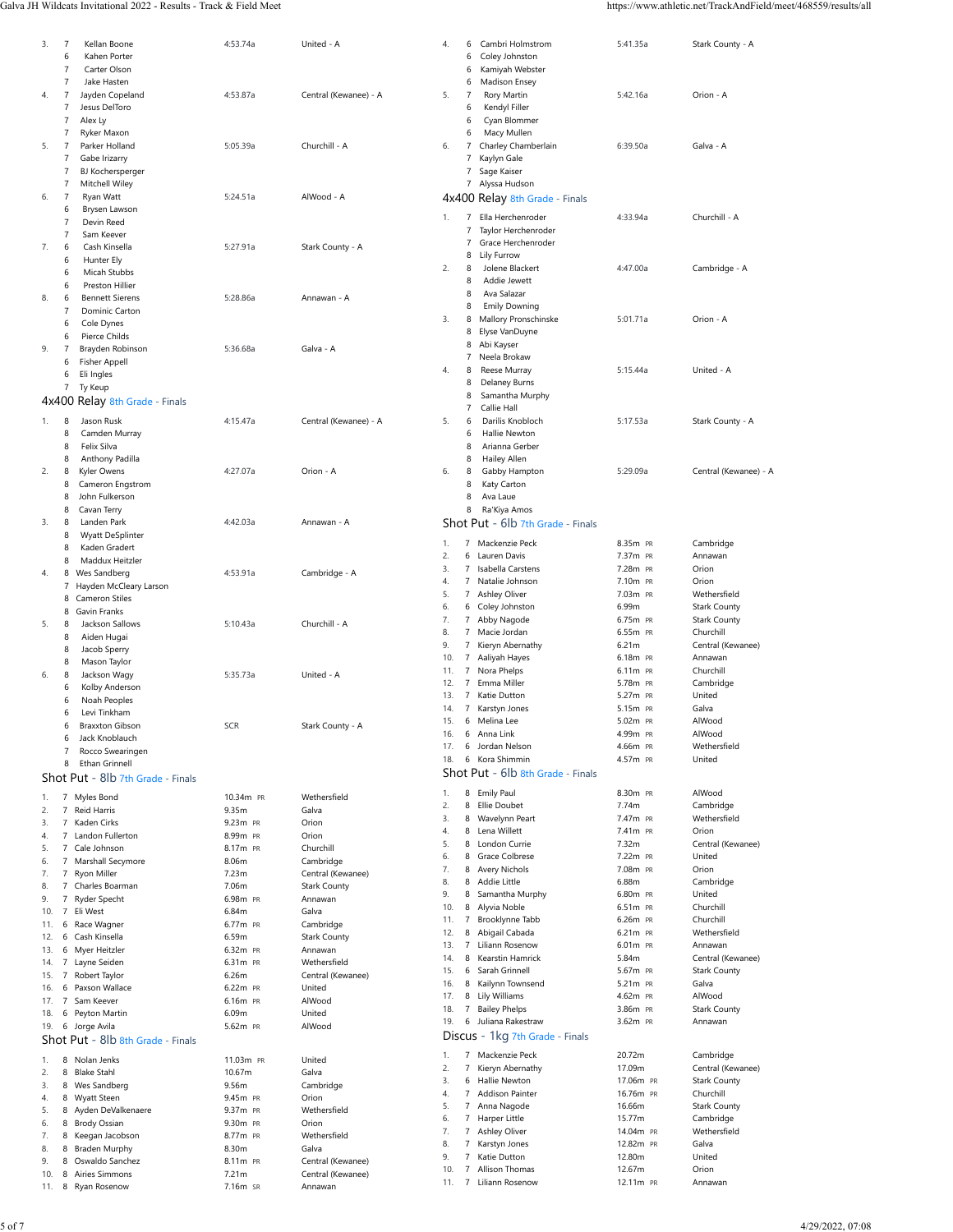#### Galva JH Wildcats Invitational 2022 - Results - Track & Field Meet https://www.athletic.net/TrackAndField/meet/468559/results/all

| 3.  |                |                                   |            |                       |            |                           |                                   |                     |                       |
|-----|----------------|-----------------------------------|------------|-----------------------|------------|---------------------------|-----------------------------------|---------------------|-----------------------|
|     | 7              | Kellan Boone                      | 4:53.74a   | United - A            | 4.         | 6                         | Cambri Holmstrom                  | 5:41.35a            | Stark County - A      |
|     | 6              | Kahen Porter                      |            |                       |            | 6                         | Coley Johnston                    |                     |                       |
|     |                |                                   |            |                       |            |                           |                                   |                     |                       |
|     | $\overline{7}$ | Carter Olson                      |            |                       |            | 6                         | Kamiyah Webster                   |                     |                       |
|     | 7              | Jake Hasten                       |            |                       |            | 6                         | Madison Ensey                     |                     |                       |
| 4.  | $\overline{7}$ | Jayden Copeland                   | 4:53.87a   | Central (Kewanee) - A | 5.         | $\overline{7}$            | Rory Martin                       | 5:42.16a            | Orion - A             |
|     |                |                                   |            |                       |            |                           |                                   |                     |                       |
|     | 7              | Jesus DelToro                     |            |                       |            | 6                         | Kendyl Filler                     |                     |                       |
|     | 7              | Alex Ly                           |            |                       |            | 6                         | Cyan Blommer                      |                     |                       |
|     |                |                                   |            |                       |            |                           |                                   |                     |                       |
|     | 7              | Ryker Maxon                       |            |                       |            | 6                         | Macy Mullen                       |                     |                       |
| 5.  | $\overline{7}$ | Parker Holland                    | 5:05.39a   | Churchill - A         | 6.         | 7                         | Charley Chamberlain               | 6:39.50a            | Galva - A             |
|     | 7              |                                   |            |                       |            | 7                         |                                   |                     |                       |
|     |                | Gabe Irizarry                     |            |                       |            |                           | Kaylyn Gale                       |                     |                       |
|     | 7              | BJ Kochersperger                  |            |                       |            | 7                         | Sage Kaiser                       |                     |                       |
|     | 7              | Mitchell Wiley                    |            |                       |            | 7                         | Alyssa Hudson                     |                     |                       |
|     |                |                                   |            |                       |            |                           |                                   |                     |                       |
| 6.  | 7              | Ryan Watt                         | 5:24.51a   | AlWood - A            | 4x400      |                           | Relay 8th Grade - Finals          |                     |                       |
|     | 6              | Brysen Lawson                     |            |                       |            |                           |                                   |                     |                       |
|     | $\overline{7}$ | Devin Reed                        |            |                       | 1.         | 7                         | Ella Herchenroder                 | 4:33.94a            | Churchill - A         |
|     |                |                                   |            |                       |            | 7                         | Taylor Herchenroder               |                     |                       |
|     | $\overline{7}$ | Sam Keever                        |            |                       |            |                           |                                   |                     |                       |
| 7.  | 6              | Cash Kinsella                     | 5:27.91a   | Stark County - A      |            | 7                         | Grace Herchenroder                |                     |                       |
|     |                |                                   |            |                       |            | 8                         | Lily Furrow                       |                     |                       |
|     | 6              | Hunter Ely                        |            |                       |            |                           |                                   |                     |                       |
|     | 6              | Micah Stubbs                      |            |                       | 2.         | 8                         | Jolene Blackert                   | 4:47.00a            | Cambridge - A         |
|     |                |                                   |            |                       |            | 8                         | Addie Jewett                      |                     |                       |
|     | 6              | Preston Hillier                   |            |                       |            | 8                         | Ava Salazar                       |                     |                       |
| 8.  | 6              | <b>Bennett Sierens</b>            | 5:28.86a   | Annawan - A           |            |                           |                                   |                     |                       |
|     | $\overline{7}$ | Dominic Carton                    |            |                       |            | 8                         | <b>Emily Downing</b>              |                     |                       |
|     |                |                                   |            |                       | 3.         | 8                         | Mallory Pronschinske              | 5:01.71a            | Orion - A             |
|     | 6              | Cole Dynes                        |            |                       |            |                           |                                   |                     |                       |
|     | 6              | Pierce Childs                     |            |                       |            | 8                         | Elyse VanDuyne                    |                     |                       |
|     |                |                                   |            |                       |            | 8                         | Abi Kayser                        |                     |                       |
| 9.  | 7              | Brayden Robinson                  | 5:36.68a   | Galva - A             |            | 7                         | Neela Brokaw                      |                     |                       |
|     | 6              | <b>Fisher Appell</b>              |            |                       |            |                           |                                   |                     |                       |
|     | 6              | Eli Ingles                        |            |                       | 4.         | 8                         | Reese Murray                      | 5:15.44a            | United - A            |
|     |                |                                   |            |                       |            | 8                         | Delaney Burns                     |                     |                       |
|     | 7              | Ty Keup                           |            |                       |            |                           |                                   |                     |                       |
|     |                | 4x400 Relay 8th Grade - Finals    |            |                       |            | 8                         | Samantha Murphy                   |                     |                       |
|     |                |                                   |            |                       |            | 7                         | Callie Hall                       |                     |                       |
|     |                |                                   |            |                       |            |                           |                                   |                     |                       |
| 1.  | 8              | Jason Rusk                        | 4:15.47a   | Central (Kewanee) - A | 5.         | 6                         | Darilis Knobloch                  | 5:17.53a            | Stark County - A      |
|     | 8              | Camden Murray                     |            |                       |            | 6                         | Hallie Newton                     |                     |                       |
|     | 8              | Felix Silva                       |            |                       |            | 8                         |                                   |                     |                       |
|     |                |                                   |            |                       |            |                           | Arianna Gerber                    |                     |                       |
|     | 8              | Anthony Padilla                   |            |                       |            | 8                         | Hailey Allen                      |                     |                       |
| 2.  | 8              | Kyler Owens                       | 4:27.07a   | Orion - A             | 6.         | 8                         | Gabby Hampton                     | 5:29.09a            | Central (Kewanee) - A |
|     |                |                                   |            |                       |            |                           |                                   |                     |                       |
|     | 8              | Cameron Engstrom                  |            |                       |            | 8                         | Katy Carton                       |                     |                       |
|     | 8              | John Fulkerson                    |            |                       |            | 8                         | Ava Laue                          |                     |                       |
|     |                |                                   |            |                       |            |                           |                                   |                     |                       |
|     | 8              | Cavan Terry                       |            |                       |            | 8                         | Ra'Kiya Amos                      |                     |                       |
| 3.  | 8              | Landen Park                       | 4:42.03a   | Annawan - A           |            |                           | Shot Put - 6lb 7th Grade - Finals |                     |                       |
|     |                |                                   |            |                       |            |                           |                                   |                     |                       |
|     | 8              | Wyatt DeSplinter                  |            |                       | 1.         | $\overline{7}$            | Mackenzie Peck                    | 8.35m PR            | Cambridge             |
|     | 8              | Kaden Gradert                     |            |                       |            |                           |                                   |                     |                       |
|     | 8              | Maddux Heitzler                   |            |                       | 2.         | 6                         | Lauren Davis                      | 7.37m PR            | Annawan               |
|     |                |                                   |            |                       | 3.         | $\overline{7}$            | Isabella Carstens                 | 7.28m PR            | Orion                 |
| 4.  | 8              | Wes Sandberg                      | 4:53.91a   | Cambridge - A         |            |                           |                                   |                     |                       |
|     |                | 7 Hayden McCleary Larson          |            |                       | 4.         | $\overline{7}$            | Natalie Johnson                   | 7.10m PR            | Orion                 |
|     |                |                                   |            |                       | 5.         | 7                         | Ashley Oliver                     | 7.03m PR            | Wethersfield          |
|     |                | 8 Cameron Stiles                  |            |                       |            |                           |                                   | 6.99m               |                       |
|     | 8              | Gavin Franks                      |            |                       | 6.         | 6                         | Coley Johnston                    |                     | <b>Stark County</b>   |
|     |                | Jackson Sallows                   | 5:10.43a   | Churchill - A         | 7.         | 7                         | Abby Nagode                       | 6.75m PR            | <b>Stark County</b>   |
| 5.  | 8              |                                   |            |                       | 8.         | $\overline{7}$            | Macie Jordan                      | 6.55m PR            | Churchill             |
|     | 8              | Aiden Hugai                       |            |                       |            |                           |                                   |                     |                       |
|     | 8              | Jacob Sperry                      |            |                       | 9.         | $\boldsymbol{7}$          | Kieryn Abernathy                  | 6.21m               | Central (Kewanee)     |
|     |                |                                   |            |                       | 10.        | $\overline{7}$            | Aaliyah Hayes                     | 6.18m PR            | Annawan               |
|     | 8              | Mason Taylor                      |            |                       |            |                           |                                   |                     |                       |
| 6.  | 8              | Jackson Wagy                      | 5:35.73a   | United - A            | 11.        | $\overline{7}$            | Nora Phelps                       | 6.11m PR            | Churchill             |
|     |                |                                   |            |                       | 12.        | 7                         | Emma Miller                       | 5.78m PR            | Cambridge             |
|     |                |                                   |            |                       |            |                           |                                   |                     |                       |
|     | 6              | Kolby Anderson                    |            |                       |            |                           |                                   |                     |                       |
|     | 6              |                                   |            |                       | 13.        | 7                         | Katie Dutton                      | 5.27m PR            | United                |
|     |                | Noah Peoples                      |            |                       | 14.        | 7                         |                                   | 5.15m PR            | Galva                 |
|     | 6              | Levi Tinkham                      |            |                       |            |                           | Karstyn Jones                     |                     |                       |
|     | 6              | <b>Braxxton Gibson</b>            | <b>SCR</b> | Stark County - A      | 15.        | 6                         | Melina Lee                        | 5.02m PR            | AlWood                |
|     |                |                                   |            |                       | 16.        | 6                         | Anna Link                         | 4.99m PR            | AlWood                |
|     | 6              | Jack Knoblauch                    |            |                       |            |                           |                                   |                     |                       |
|     | $\overline{7}$ | Rocco Swearingen                  |            |                       | 17.        | 6                         | Jordan Nelson                     | 4.66m PR            | Wethersfield          |
|     |                |                                   |            |                       | 18.        | 6                         | Kora Shimmin                      | 4.57m PR            | United                |
|     | 8              | Ethan Grinnell                    |            |                       |            |                           |                                   |                     |                       |
|     |                | Shot Put - 8lb 7th Grade - Finals |            |                       |            |                           | Shot Put - 6lb 8th Grade - Finals |                     |                       |
|     |                |                                   |            |                       |            |                           |                                   |                     |                       |
| 1.  | $\overline{7}$ | Myles Bond                        | 10.34m PR  | Wethersfield          | 1.         | 8                         | <b>Emily Paul</b>                 | 8.30m PR            | AlWood                |
|     |                |                                   |            |                       | 2.         | 8                         | Ellie Doubet                      | 7.74m               | Cambridge             |
| 2.  | $\overline{7}$ | Reid Harris                       | 9.35m      | Galva                 |            |                           |                                   |                     |                       |
| 3.  |                | 7 Kaden Cirks                     | 9.23m PR   | Orion                 | 3.         | 8                         | Wavelynn Peart                    | 7.47m PR            | Wethersfield          |
| 4.  |                | 7 Landon Fullerton                | 8.99m PR   | Orion                 | 4.         | 8                         | Lena Willett                      | 7.41m PR            | Orion                 |
|     |                |                                   |            |                       | 5.         | 8                         | London Currie                     | 7.32m               | Central (Kewanee)     |
| 5.  |                | 7 Cale Johnson                    | 8.17m PR   | Churchill             |            |                           |                                   |                     |                       |
| 6.  |                | 7 Marshall Secymore               | 8.06m      | Cambridge             | 6.         | 8                         | Grace Colbrese                    | 7.22m PR            | United                |
|     |                |                                   |            |                       | 7.         | 8                         | Avery Nichols                     | 7.08m PR            | Orion                 |
| 7.  |                | 7 Ryon Miller                     | 7.23m      | Central (Kewanee)     |            |                           |                                   |                     |                       |
| 8.  |                | 7 Charles Boarman                 | 7.06m      | <b>Stark County</b>   | 8.         | 8                         | Addie Little                      | 6.88m               | Cambridge             |
|     |                |                                   |            |                       | 9.         | 8                         | Samantha Murphy                   | 6.80m PR            | United                |
| 9.  | $\overline{7}$ | Ryder Specht                      | 6.98m PR   | Annawan               | 10.        | 8                         | Alyvia Noble                      | 6.51m PR            | Churchill             |
| 10. | $\overline{7}$ | Eli West                          | 6.84m      | Galva                 |            |                           |                                   |                     |                       |
| 11. | 6              | Race Wagner                       | 6.77m PR   | Cambridge             | 11.        | 7                         | Brooklynne Tabb                   | 6.26m PR            | Churchill             |
|     |                |                                   |            |                       | 12.        | 8                         | Abigail Cabada                    | 6.21m PR            | Wethersfield          |
| 12. | 6              | Cash Kinsella                     | 6.59m      | <b>Stark County</b>   |            |                           |                                   |                     |                       |
| 13. | 6              | Myer Heitzler                     | 6.32m PR   | Annawan               | 13.        | $\overline{7}$            | Liliann Rosenow                   | 6.01m PR            | Annawan               |
|     |                |                                   | 6.31m PR   | Wethersfield          | 14.        | 8                         | Kearstin Hamrick                  | 5.84m               | Central (Kewanee)     |
| 14. | $\overline{7}$ | Layne Seiden                      |            |                       | 15.        | 6                         | Sarah Grinnell                    | 5.67m PR            | <b>Stark County</b>   |
| 15. | 7              | Robert Taylor                     | 6.26m      | Central (Kewanee)     |            |                           |                                   |                     |                       |
| 16. | 6              | Paxson Wallace                    | 6.22m PR   | United                | 16.        | 8                         | Kailynn Townsend                  | 5.21m PR            | Galva                 |
|     |                |                                   |            |                       | 17.        | 8                         | Lily Williams                     | 4.62m PR            | AlWood                |
| 17. | $\overline{7}$ | Sam Keever                        | 6.16m PR   | AlWood                |            |                           |                                   |                     |                       |
| 18. | 6              | Peyton Martin                     | 6.09m      | United                | 18.        | $\boldsymbol{7}$          | <b>Bailey Phelps</b>              | 3.86m PR            | <b>Stark County</b>   |
|     |                |                                   |            |                       | 19.        | 6                         | Juliana Rakestraw                 | 3.62m PR            | Annawan               |
| 19. |                | 6 Jorge Avila                     | 5.62m PR   | AlWood                |            |                           |                                   |                     |                       |
|     |                | Shot Put - 8lb 8th Grade - Finals |            |                       |            |                           | Discus - 1kg 7th Grade - Finals   |                     |                       |
|     |                |                                   |            |                       |            |                           |                                   |                     |                       |
| 1.  |                | 8 Nolan Jenks                     | 11.03m PR  | United                | 1.         | 7                         | Mackenzie Peck                    | 20.72m              | Cambridge             |
|     |                |                                   |            |                       | 2.         | 7                         | Kieryn Abernathy                  | 17.09m              | Central (Kewanee)     |
| 2.  |                | 8 Blake Stahl                     | 10.67m     | Galva                 |            |                           |                                   |                     |                       |
| 3.  |                | 8 Wes Sandberg                    | 9.56m      | Cambridge             | 3.         | 6                         | Hallie Newton                     | 17.06m PR           | <b>Stark County</b>   |
|     |                |                                   |            |                       | 4.         | $\overline{7}$            | <b>Addison Painter</b>            | 16.76m PR           | Churchill             |
| 4.  |                | 8 Wyatt Steen                     | 9.45m PR   | Orion                 |            |                           |                                   |                     |                       |
| 5.  |                | 8 Ayden DeValkenaere              | 9.37m PR   | Wethersfield          | 5.         | 7                         | Anna Nagode                       | 16.66m              | <b>Stark County</b>   |
|     |                |                                   | 9.30m PR   | Orion                 | 6.         | 7                         | Harper Little                     | 15.77m              | Cambridge             |
| 6.  |                | 8 Brody Ossian                    |            |                       | 7.         | $\overline{\mathfrak{z}}$ | Ashley Oliver                     | 14.04m PR           | Wethersfield          |
| 7.  |                | 8 Keegan Jacobson                 | 8.77m PR   | Wethersfield          |            |                           |                                   |                     |                       |
| 8.  | 8              | <b>Braden Murphy</b>              | 8.30m      | Galva                 | 8.         | 7                         | Karstyn Jones                     | 12.82m PR           | Galva                 |
|     |                |                                   |            |                       | 9.         | $\overline{7}$            | Katie Dutton                      | 12.80m              | United                |
| 9.  | 8              | Oswaldo Sanchez                   | 8.11m PR   | Central (Kewanee)     |            |                           |                                   |                     |                       |
| 10. | 8              | Airies Simmons                    | 7.21m      | Central (Kewanee)     | 10.<br>11. | 7<br>$\overline{7}$       | Allison Thomas<br>Liliann Rosenow | 12.67m<br>12.11m PR | Orion<br>Annawan      |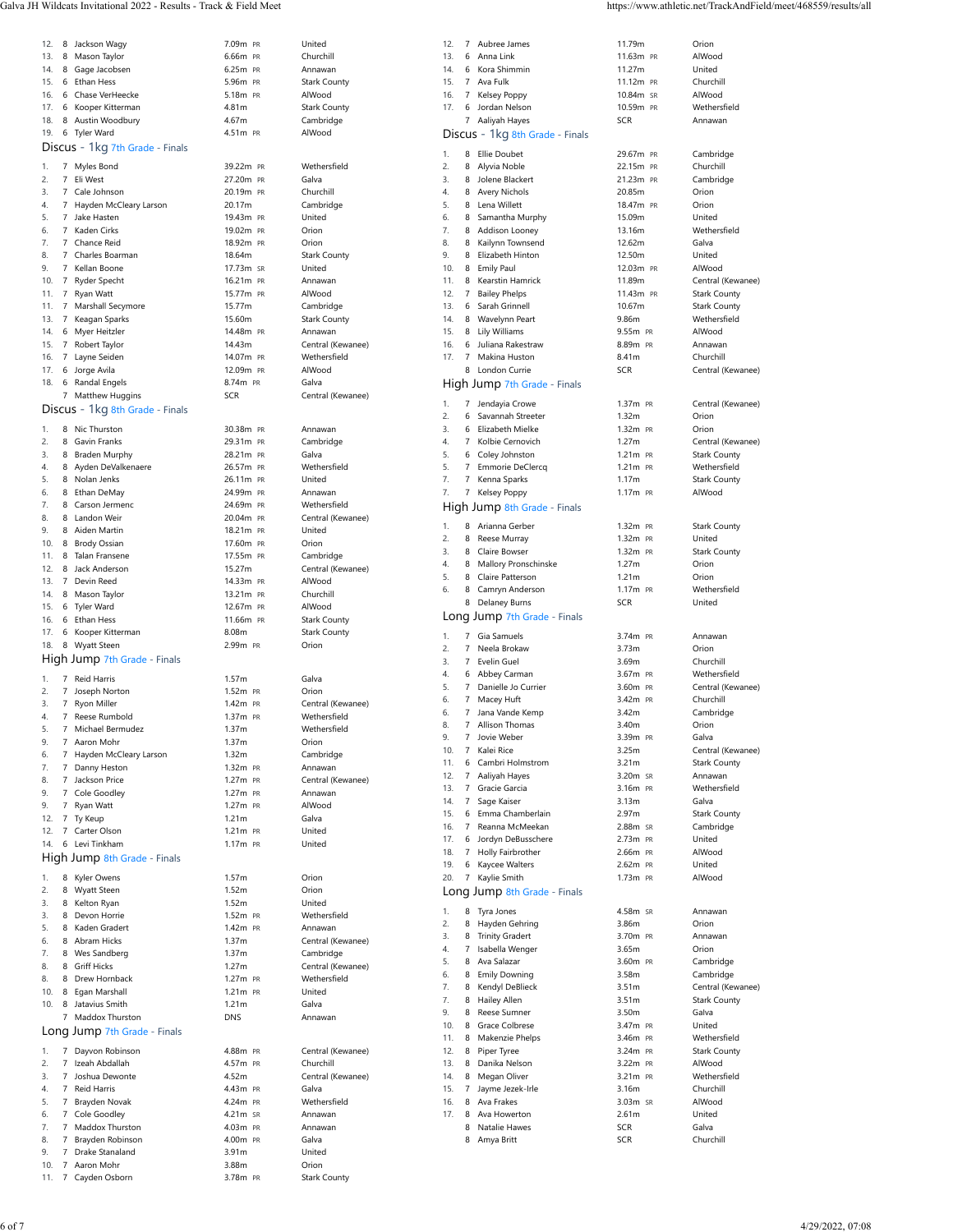| Galva JH Wildcats Invitational 2022 -<br>Track & Field Meet<br>! - Results | www.athletic.net/TrackAndField/meet/468559/results/an<br>http |
|----------------------------------------------------------------------------|---------------------------------------------------------------|
|                                                                            |                                                               |

| 12.        |             |                                           |                        |                                |
|------------|-------------|-------------------------------------------|------------------------|--------------------------------|
|            |             | 8 Jackson Wagy                            | 7.09m PR               | United                         |
| 13.        |             | 8 Mason Taylor                            | 6.66m PR               | Churchill                      |
| 14.        |             | 8 Gage Jacobsen                           | 6.25m PR               | Annawan                        |
| 15.        |             | 6 Ethan Hess                              | 5.96m PR               | <b>Stark County</b>            |
| 16.        |             | 6 Chase VerHeecke                         | 5.18m PR               | AlWood                         |
| 17.<br>18. |             | 6 Kooper Kitterman<br>8 Austin Woodbury   | 4.81m<br>4.67m         | <b>Stark County</b>            |
| 19.        |             | 6 Tyler Ward                              | 4.51m PR               | Cambridge<br>AlWood            |
|            |             | Discus - 1kg 7th Grade - Finals           |                        |                                |
|            |             |                                           |                        |                                |
| 1.         |             | 7 Myles Bond                              | 39.22m PR              | Wethersfield                   |
| 2.         |             | 7 Eli West                                | 27.20m PR              | Galva                          |
| 3.         |             | 7 Cale Johnson                            | 20.19m PR              | Churchill                      |
| 4.<br>5.   |             | 7 Hayden McCleary Larson<br>7 Jake Hasten | 20.17m<br>19.43m PR    | Cambridge<br>United            |
| 6.         |             | 7 Kaden Cirks                             | 19.02m PR              | Orion                          |
| 7.         |             | 7 Chance Reid                             | 18.92m PR              | Orion                          |
| 8.         |             | 7 Charles Boarman                         | 18.64m                 | <b>Stark County</b>            |
| 9.         |             | 7 Kellan Boone                            | 17.73m SR              | United                         |
| 10.        |             | 7 Ryder Specht                            | 16.21m PR              | Annawan                        |
| 11.        |             | 7 Ryan Watt                               | 15.77m PR              | AlWood                         |
| 11.        |             | 7 Marshall Secymore                       | 15.77m                 | Cambridge                      |
| 13.        |             | 7 Keagan Sparks                           | 15.60m                 | <b>Stark County</b>            |
| 14.        |             | 6 Myer Heitzler                           | 14.48m PR              | Annawan                        |
| 15.        |             | 7 Robert Taylor                           | 14.43m                 | Central (Kewanee)              |
| 16.        |             | 7 Layne Seiden                            | 14.07m PR              | Wethersfield                   |
| 17.        |             | 6 Jorge Avila                             | 12.09m PR              | AlWood                         |
| 18.        |             | 6 Randal Engels                           | 8.74m PR               | Galva                          |
|            |             | 7 Matthew Huggins                         | <b>SCR</b>             | Central (Kewanee)              |
|            |             | Discus - 1kg 8th Grade - Finals           |                        |                                |
| 1.         |             | 8 Nic Thurston                            | 30.38m PR              | Annawan                        |
| 2.         |             | 8 Gavin Franks                            | 29.31m PR              | Cambridge                      |
| 3.         |             | 8 Braden Murphy                           | 28.21m PR              | Galva                          |
| 4.         |             | 8 Ayden DeValkenaere                      | 26.57m PR              | Wethersfield                   |
| 5.         |             | 8 Nolan Jenks                             | 26.11m PR              | United                         |
| 6.         |             | 8 Ethan DeMay                             | 24.99m PR              | Annawan                        |
| 7.         |             | 8 Carson Jermenc                          | 24.69m PR              | Wethersfield                   |
| 8.         |             | 8 Landon Weir                             | 20.04m PR              | Central (Kewanee)              |
| 9.         |             | 8 Aiden Martin                            | 18.21m PR              | United                         |
| 10.<br>11. |             | 8 Brody Ossian<br>8 Talan Fransene        | 17.60m PR<br>17.55m PR | Orion                          |
| 12.        |             | 8 Jack Anderson                           | 15.27m                 | Cambridge<br>Central (Kewanee) |
| 13.        |             | 7 Devin Reed                              | 14.33m PR              | AlWood                         |
| 14.        |             | 8 Mason Taylor                            | 13.21m PR              | Churchill                      |
| 15.        |             | 6 Tyler Ward                              | 12.67m PR              | AlWood                         |
| 16.        |             | 6 Ethan Hess                              | 11.66m PR              | <b>Stark County</b>            |
| 17.        |             | 6 Kooper Kitterman                        | 8.08m                  | <b>Stark County</b>            |
| 18.        |             | 8 Wyatt Steen                             | 2.99m PR               | Orion                          |
|            |             | High Jump 7th Grade - Finals              |                        |                                |
|            |             |                                           | 1.57m                  | Galva                          |
|            |             |                                           |                        |                                |
| 1.         |             | 7 Reid Harris                             |                        |                                |
| 2.         |             | 7 Joseph Norton                           | 1.52m PR               | Orion                          |
| 3.         |             | 7 Ryon Miller                             | 1.42m PR               | Central (Kewanee)              |
| 4.         | $7^{\circ}$ | Reese Rumbold                             | 1.37m PR               | Wethersfield                   |
| 5.<br>9.   |             | 7 Michael Bermudez<br>7 Aaron Mohr        | 1.37m<br>1.37m         | Wethersfield<br>Orion          |
| 6.         |             | 7 Hayden McCleary Larson                  | 1.32m                  | Cambridge                      |
| 7.         |             | 7 Danny Heston                            | 1.32m PR               | Annawan                        |
| 8.         |             | 7 Jackson Price                           | 1.27m PR               | Central (Kewanee)              |
| 9.         |             | 7 Cole Goodley                            | 1.27m PR               | Annawan                        |
| 9.         |             | 7 Ryan Watt                               | 1.27m PR               | AlWood                         |
| 12.        |             | 7 Ty Keup                                 | 1.21m                  | Galva                          |
|            |             | 12. 7 Carter Olson                        | 1.21m PR               | United                         |
| 14.        |             | 6 Levi Tinkham                            | 1.17m PR               | United                         |
|            |             | High Jump 8th Grade - Finals              |                        |                                |
| 1.         |             | 8 Kyler Owens                             | 1.57m                  | Orion                          |
| 2.         |             | 8 Wyatt Steen                             | 1.52m                  | Orion                          |
| 3.         |             | 8 Kelton Ryan                             | 1.52m                  | United                         |
| 3.         |             | 8 Devon Horrie                            | 1.52m PR               | Wethersfield                   |
| 5.         |             | 8 Kaden Gradert                           | 1.42m PR               | Annawan                        |
| 6.         |             | 8 Abram Hicks                             | 1.37m                  | Central (Kewanee)              |
| 7.         |             | 8 Wes Sandberg                            | 1.37m                  | Cambridge                      |
| 8.         |             | 8 Griff Hicks                             | 1.27m                  | Central (Kewanee)              |
| 8.         |             | 8 Drew Hornback                           | 1.27m PR               | Wethersfield                   |
| 10.        |             | 8 Egan Marshall                           | 1.21m PR               | United                         |
| 10.        |             | 8 Jatavius Smith                          | 1.21m                  | Galva                          |
|            |             | 7 Maddox Thurston                         | <b>DNS</b>             | Annawan                        |
|            |             | Long Jump 7th Grade - Finals              |                        |                                |
| 1.         |             | 7 Dayvon Robinson                         | 4.88m PR               | Central (Kewanee)              |
| 2.         |             | 7 Izeah Abdallah                          | 4.57m PR               | Churchill                      |
| 3.         |             | 7 Joshua Dewonte                          | 4.52m                  | Central (Kewanee)              |
| 4.         |             | 7 Reid Harris                             | 4.43m PR               | Galva                          |
| 5.         |             | 7 Brayden Novak                           | 4.24m PR               | Wethersfield                   |
| 6.         |             | 7 Cole Goodley                            | 4.21m SR               | Annawan                        |
| 7.         |             | 7 Maddox Thurston                         | 4.03m PR               | Annawan                        |
| 8.         |             | 7 Brayden Robinson                        | 4.00m PR               | Galva                          |
| 9.         |             | 7 Drake Stanaland                         | 3.91m                  | United                         |
| 10.<br>11. |             | 7 Aaron Mohr<br>7 Cayden Osborn           | 3.88m<br>3.78m PR      | Orion<br>Stark County          |

| Churchill                           | 13               |
|-------------------------------------|------------------|
| Annawan                             | 14<br>15         |
| <b>Stark County</b><br>AlWood       | 16               |
| <b>Stark County</b>                 | 17               |
| Cambridge                           |                  |
| AlWood                              | D                |
|                                     | 1.               |
| Wethersfield<br>Galva               | 2.               |
| Churchill                           | 3.<br>4.         |
| Cambridge                           | 5.               |
| United                              | 6.               |
| Orion                               | 7.<br>8.         |
| Orion<br><b>Stark County</b>        | 9.               |
| United                              | 1 <sup>1</sup>   |
| Annawan                             | 11               |
| AlWood                              | 12<br>13         |
| Cambridge<br><b>Stark County</b>    | 14               |
| Annawan                             | 15               |
| Central (Kewanee)                   | 16               |
| Wethersfield                        | 17               |
| AlWood<br>Galva                     | Н                |
| Central (Kewanee)                   |                  |
|                                     | 1.               |
| Annawan                             | 2.<br>3.         |
| Cambridge                           | 4.               |
| Galva                               | 5.               |
| Wethersfield                        | 5.               |
| United<br>Annawan                   | 7.<br>7.         |
| Wethersfield                        | Н                |
| Central (Kewanee)                   |                  |
| United                              | 1.<br>2.         |
| Orion<br>Cambridge                  | 3.               |
| Central (Kewanee)                   | 4.               |
| AlWood                              | 5.               |
| Churchill                           | 6.               |
| AlWood                              | Ŀ                |
| <b>Stark County</b><br>Stark County |                  |
| Orion                               | 1.<br>2.         |
|                                     | 3.               |
| Galva                               | 4.               |
| Orion                               | 5.<br>6.         |
| Central (Kewanee)                   | 6.               |
| Wethersfield<br>Wethersfield        | 8.               |
| Orion                               | 9.               |
| Cambridge                           | 1 <sup>1</sup>   |
| Annawan                             | 11<br>12         |
| Central (Kewanee)<br>Annawan        | 13               |
| AlWood                              | 14               |
| Galva                               | 15               |
| United                              | 16<br>17         |
| United                              | $1\xi$           |
|                                     | 19               |
| Orion                               | $\overline{2}$ C |
| Orion<br>United                     | Ŀ                |
| Wethersfield                        | 1.               |
| Annawan                             | 2.               |
| Central (Kewanee)                   | 3.<br>4.         |
| Cambridge                           | 5.               |
| Central (Kewanee)<br>Wethersfield   | 6.               |
| United                              | 7.               |
| Galva                               | 7.<br>9.         |
| Annawan                             | 1 <sup>1</sup>   |
|                                     | 11               |
| Central (Kewanee)                   | 12               |
| Churchill                           | 13               |
| Central (Kewanee)<br>Galva          | 14<br>15         |
| Wethersfield                        | 16               |
| Annawan                             | 17               |
| Annawan                             |                  |
| Galva<br>United                     |                  |
|                                     |                  |

| 12.        | 7              | Aubree James                    | 11.79m                   | Orion                            |
|------------|----------------|---------------------------------|--------------------------|----------------------------------|
| 13.        | 6              | Anna Link                       | 11.63m PR                | AlWood                           |
| 14.        | 6              | Kora Shimmin                    | 11.27m                   | United                           |
| 15.        | $\overline{7}$ | Ava Fulk                        | 11.12m PR                | Churchill                        |
| 16.        | 7              | Kelsey Poppy                    | 10.84m SR                | AlWood                           |
| 17.        | 6              | Jordan Nelson                   | 10.59m PR                | Wethersfield                     |
|            | 7              | Aaliyah Hayes                   | <b>SCR</b>               | Annawan                          |
|            |                | Discus - 1kg 8th Grade - Finals |                          |                                  |
|            |                |                                 |                          |                                  |
| 1.         | 8              | <b>Ellie Doubet</b>             | 29.67m PR                | Cambridge                        |
| 2.         | 8              | Alyvia Noble                    | 22.15m PR                | Churchill                        |
| 3.         | 8              | Jolene Blackert                 | 21.23m PR                | Cambridge                        |
| 4.         | 8              | <b>Avery Nichols</b>            | 20.85m                   | Orion                            |
| 5.         | 8              | Lena Willett                    | 18.47m PR                | Orion                            |
| 6.         | 8              | Samantha Murphy                 | 15.09m                   | United                           |
| 7.         | 8              | Addison Looney                  | 13.16m                   | Wethersfield                     |
| 8.         | 8              | Kailynn Townsend                | 12.62m                   | Galva                            |
| 9.         | 8              | Elizabeth Hinton                | 12.50m                   | United                           |
| 10.        | 8              | <b>Emily Paul</b>               | 12.03m PR                | AlWood                           |
| 11.        | 8              | Kearstin Hamrick                | 11.89m                   | Central (Kewanee)                |
| 12.        | 7              | <b>Bailey Phelps</b>            | 11.43m PR                | <b>Stark County</b>              |
| 13.        | 6              | Sarah Grinnell                  | 10.67m                   | <b>Stark County</b>              |
| 14.        | 8              | Wavelynn Peart                  | 9.86m                    | Wethersfield                     |
| 15.        | 8              | Lily Williams                   | 9.55m PR                 | AlWood                           |
| 16.        | 6              | Juliana Rakestraw               | 8.89m PR                 | Annawan                          |
| 17.        | $\overline{7}$ | Makina Huston                   | 8.41m                    | Churchill                        |
|            | 8              | London Currie                   | <b>SCR</b>               | Central (Kewanee)                |
|            |                | High Jump 7th Grade - Finals    |                          |                                  |
|            |                |                                 |                          |                                  |
| 1.         | 7              | Jendayia Crowe                  | 1.37m PR                 | Central (Kewanee)                |
| 2.         | 6              | Savannah Streeter               | 1.32m                    | Orion                            |
| 3.         |                | 6 Elizabeth Mielke              | 1.32m PR                 | Orion                            |
| 4.         |                | 7 Kolbie Cernovich              | 1.27m                    | Central (Kewanee)                |
| 5.         | 6              | Coley Johnston                  | 1.21m PR                 | <b>Stark County</b>              |
| 5.         | 7              | Emmorie DeClercq                | 1.21m PR                 | Wethersfield                     |
| 7.         | 7              | Kenna Sparks                    | 1.17 <sub>m</sub>        | <b>Stark County</b>              |
| 7.         | 7              | Kelsey Poppy                    | 1.17m PR                 | AlWood                           |
|            |                | High Jump 8th Grade - Finals    |                          |                                  |
| 1.         | 8              | Arianna Gerber                  | 1.32m PR                 | <b>Stark County</b>              |
| 2.         | 8              | Reese Murray                    | 1.32m PR                 | United                           |
| 3.         | 8              | Claire Bowser                   | 1.32m PR                 | <b>Stark County</b>              |
| 4.         | 8              | Mallory Pronschinske            | 1.27m                    | Orion                            |
| 5.         | 8              | Claire Patterson                | 1.21m                    | Orion                            |
| 6.         | 8              | Camryn Anderson                 | 1.17m PR                 | Wethersfield                     |
|            | 8              | Delaney Burns                   | <b>SCR</b>               | United                           |
|            |                |                                 |                          |                                  |
|            |                | Long Jump 7th Grade - Finals    |                          |                                  |
| 1.         | $\overline{7}$ | Gia Samuels                     | 3.74m PR                 | Annawan                          |
| 2.         | 7              | Neela Brokaw                    | 3.73m                    | Orion                            |
| 3.         | $\overline{7}$ | Evelin Guel                     | 3.69m                    | Churchill                        |
| 4.         | 6              | Abbey Carman                    | 3.67m PR                 | Wethersfield                     |
| 5.         | 7              | Danielle Jo Currier             | 3.60m PR                 | Central (Kewanee)                |
| 6.         | 7              | Macey Huft                      | 3.42m PR                 | Churchill                        |
| 6.         | 7              | Jana Vande Kemp                 | 3.42m                    | Cambridge                        |
| 8.         | $\overline{7}$ | Allison Thomas                  | 3.40m                    | Orion                            |
| У.         |                | Jovie Weber                     | 3.39m PR                 | Galva                            |
| 10.        | 7              | Kalei Rice                      | 3.25m                    | Central (Kewanee)                |
| 11.        | 6              | Cambri Holmstrom                | 3.21m                    | <b>Stark County</b>              |
| 12.        | 7              | Aaliyah Hayes                   | 3.20m SR                 | Annawan                          |
| 13.        | 7              | Gracie Garcia                   | 3.16m PR                 | Wethersfield                     |
| 14.        | 7              |                                 |                          |                                  |
|            |                | Sage Kaiser<br>Emma Chamberlain | 3.13m                    | Galva                            |
| 15.<br>16. | 6<br>7         | Reanna McMeekan                 | 2.97m                    | <b>Stark County</b><br>Cambridge |
|            |                |                                 | 2.88m SR                 |                                  |
| 17.        | 6              | Jordyn DeBusschere              | 2.73m PR                 | United                           |
| 18.        | 7              | Holly Fairbrother               | 2.66m PR                 | AlWood                           |
| 19.        | 6              | Kaycee Walters                  | 2.62m PR                 | United                           |
| 20.        | 7              | Kaylie Smith                    | 1.73m PR                 | AlWood                           |
|            |                | Long Jump 8th Grade - Finals    |                          |                                  |
| 1.         | 8              | Tyra Jones                      | 4.58m SR                 | Annawan                          |
| 2.         | 8              | Hayden Gehring                  | 3.86m                    | Orion                            |
| 3.         | 8              | <b>Trinity Gradert</b>          | 3.70m PR                 | Annawan                          |
| 4.         | 7              | Isabella Wenger                 | 3.65m                    | Orion                            |
| 5.         |                |                                 |                          | Cambridge                        |
| 6.         |                |                                 |                          |                                  |
|            | 8              | Ava Salazar                     | 3.60m PR                 |                                  |
|            | 8              | <b>Emily Downing</b>            | 3.58m                    | Cambridge                        |
| 7.         | 8              | Kendyl DeBlieck                 | 3.51m                    | Central (Kewanee)                |
| 7.         | 8              | <b>Hailey Allen</b>             | 3.51 <sub>m</sub>        | <b>Stark County</b>              |
| 9.         | 8              | Reese Sumner                    | 3.50m                    | Galva                            |
| 10.        | 8              | Grace Colbrese                  | 3.47m PR                 | United                           |
| 11.        | 8              | Makenzie Phelps                 | 3.46m PR                 | Wethersfield                     |
| 12.        | 8              | Piper Tyree                     | 3.24m PR                 | <b>Stark County</b>              |
| 13.        | 8              | Danika Nelson                   | 3.22m PR                 | AlWood                           |
| 14.        | 8              | Megan Oliver                    | 3.21m PR                 | Wethersfield                     |
| 15.        | 7              | Jayme Jezek-Irle                | 3.16m                    | Churchill                        |
| 16.        | 8              | Ava Frakes                      | 3.03m SR                 | AlWood                           |
| 17.        | 8              | Ava Howerton                    | 2.61m                    | United                           |
|            | 8              | Natalie Hawes                   | <b>SCR</b><br><b>SCR</b> | Galva<br>Churchill               |

| )m               | Orion               |
|------------------|---------------------|
| m pr             | AlWood              |
| m                | United              |
| m,<br>PR         | Churchill           |
| ĮW.<br><b>SR</b> | AlWood              |
| m pr             | Wethersfield        |
|                  | Annawan             |
| m pr             | Cambridge           |
| 'n<br>PR         | Churchill           |
| m PR             | Cambridge           |
| 'n               | Orion               |
| m pr             | Orion               |
| m(               | United              |
| òт               | Wethersfield        |
| m,               | Galva               |
| )m               | United              |
| m PR             | AlWood              |
| m(               | Central (Kewa       |
| m PR             | <b>Stark County</b> |
| m                | Stark County        |
| n                | Wethersfield        |
| n PR             | AlWood              |
| 'n<br>PR         | Annawan             |
| 'n               | Churchill           |
|                  | Central (Kewa       |
| n PR             | Central (Kewa       |
| n                | Orion               |
| n<br>PR          | Orion               |
| n                | Central (Kewa       |
| n PR             | Stark County        |
| 'n<br>PR         | Wethersfield        |
| 'n               | <b>Stark County</b> |
| 'n.<br>PR        | AlWood              |
|                  |                     |
| n<br>PR          | <b>Stark County</b> |
| n<br>PR          | United              |
| n<br>PR          | Stark County        |
| 'n               | Orion               |
| 'n.              | Orion               |
| n PR             | Wethersfield        |
|                  | United              |
| n<br>PR          | Annawan             |
| 'n               | Orion               |
| n                | Churchill           |
| n<br>PR          | Wethersfield        |
| n<br>PR          | Central (Kewa       |
| 'n<br>PR         | Churchill           |
| 'n               | Cambridge           |
| 'n               | Orion               |
| n<br>PR          | Galva               |
| 'n               | Central (Kewa       |
| n                | Stark County        |
| n<br>SR          | Annawan             |
| n<br>PR          | Wethersfield        |
| n                | Galva               |
| 'n               | <b>Stark County</b> |
| n<br>SR          | Cambridge           |
| n<br>PR          | United              |
| 'n<br>PR         | AlWood              |
| n<br>PR          | United              |
| 'n<br>PR         | AlWood              |
| n<br>SR          | Annawan             |
| n                | Orion               |
| n<br>PR          | Annawan             |
| n                | Orion               |
| n<br>PR          | Cambridge           |
| 'n               | Cambridge           |
| n                | Central (Kewa       |
| 'n               | Stark County        |
| 'n               | Galva               |
| n<br>PR          | United              |
| n<br>PR          | Wethersfield        |
| n<br>PR          | <b>Stark County</b> |
| 'n<br>PR         | AlWood              |
| n<br>PR          | Wethersfield        |
| 'n               | Churchill           |
| n<br><b>SR</b>   | AlWood              |
| 'n               | United              |
|                  | Galva               |